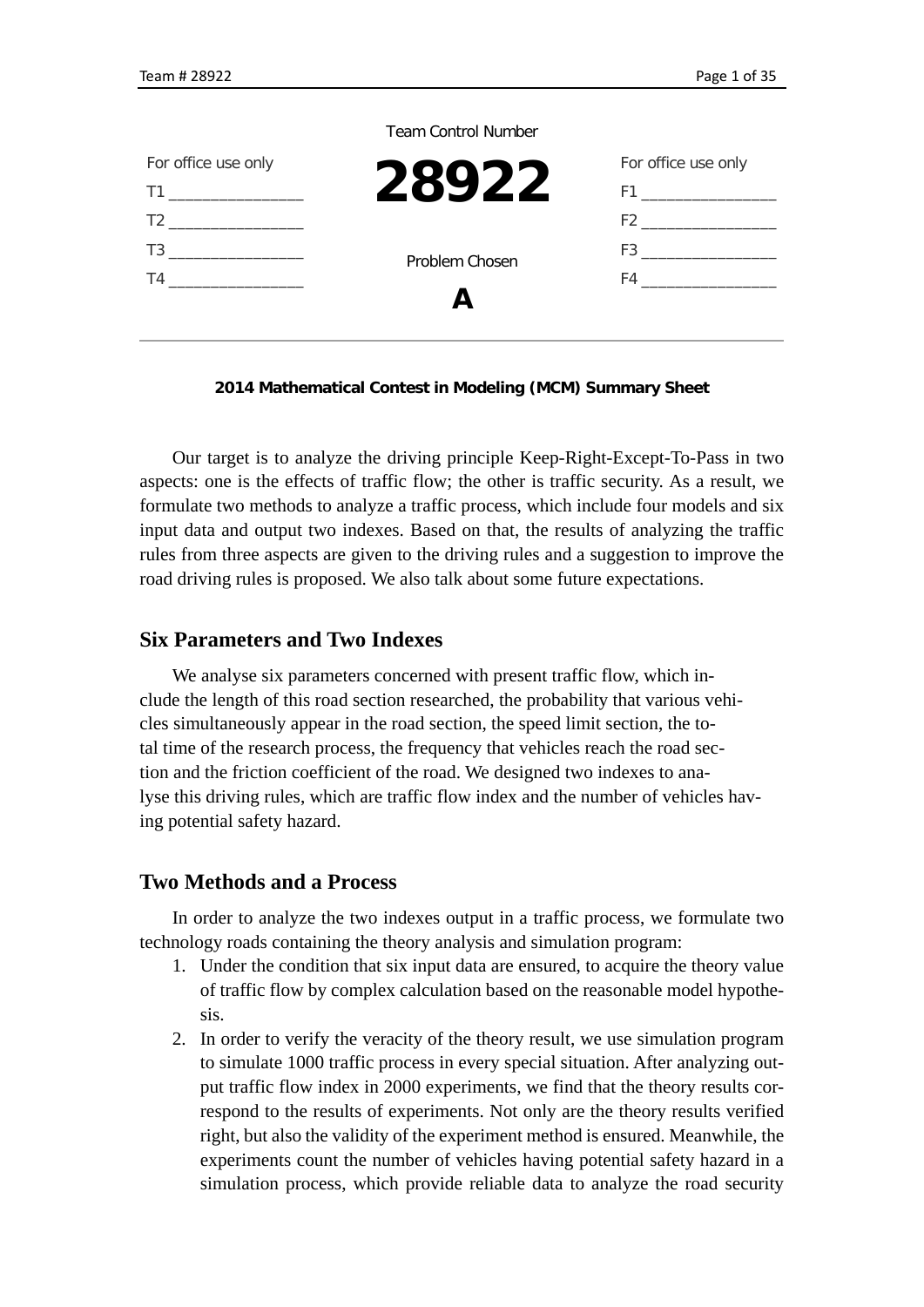| <b>Team Control Number</b> |
|----------------------------|
|----------------------------|

| For office use only                                                                                                                                                                                                          |                | For office use only                                                                                                                                                                                                          |
|------------------------------------------------------------------------------------------------------------------------------------------------------------------------------------------------------------------------------|----------------|------------------------------------------------------------------------------------------------------------------------------------------------------------------------------------------------------------------------------|
|                                                                                                                                                                                                                              | 28922          |                                                                                                                                                                                                                              |
| $T2$ and $T2$ and $T2$ and $T2$ and $T2$ and $T2$ and $T2$ and $T2$ and $T2$ and $T2$ and $T2$ and $T2$ and $T2$ and $T2$ and $T2$ and $T2$ and $T2$ and $T2$ and $T2$ and $T2$ and $T2$ and $T2$ and $T2$ and $T2$ and $T2$ |                | $F2$ and $F2$ and $F2$ and $F2$ and $F2$ and $F2$ and $F2$ and $F2$ and $F2$ and $F2$ and $F2$ and $F2$ and $F2$ and $F2$ and $F2$ and $F2$ and $F2$ and $F2$ and $F2$ and $F2$ and $F2$ and $F2$ and $F2$ and $F2$ and $F2$ |
| T3<br>and the control of the control of                                                                                                                                                                                      | Problem Chosen | $F3$ and $F3$ and $F3$ and $F3$ and $F3$                                                                                                                                                                                     |
| T4                                                                                                                                                                                                                           |                | F4                                                                                                                                                                                                                           |
|                                                                                                                                                                                                                              |                |                                                                                                                                                                                                                              |
|                                                                                                                                                                                                                              |                |                                                                                                                                                                                                                              |

#### **2014 Mathematical Contest in Modeling (MCM) Summary Sheet**

Our target is to analyze the driving principle Keep-Right-Except-To-Pass in two aspects: one is the effects of traffic flow; the other is traffic security. As a result, we formulate two methods to analyze a traffic process, which include four models and six input data and output two indexes. Based on that, the results of analyzing the traffic rules from three aspects are given to the driving rules and a suggestion to improve the road driving rules is proposed. We also talk about some future expectations.

### **Six Parameters and Two Indexes**

We analyse six parameters concerned with present traffic flow, which include the length of this road section researched, the probability that various vehicles simultaneously appear in the road section, the speed limit section, the total time of the research process, the frequency that vehicles reach the road section and the friction coefficient of the road. We designed two indexes to analyse this driving rules, which are traffic flow index and the number of vehicles having potential safety hazard.

### **Two Methods and a Process**

In order to analyze the two indexes output in a traffic process, we formulate two technology roads containing the theory analysis and simulation program:

- 1. Under the condition that six input data are ensured, to acquire the theory value of traffic flow by complex calculation based on the reasonable model hypothesis.
- 2. In order to verify the veracity of the theory result, we use simulation program to simulate 1000 traffic process in every special situation. After analyzing output traffic flow index in 2000 experiments, we find that the theory results correspond to the results of experiments. Not only are the theory results verified right, but also the validity of the experiment method is ensured. Meanwhile, the experiments count the number of vehicles having potential safety hazard in a simulation process, which provide reliable data to analyze the road security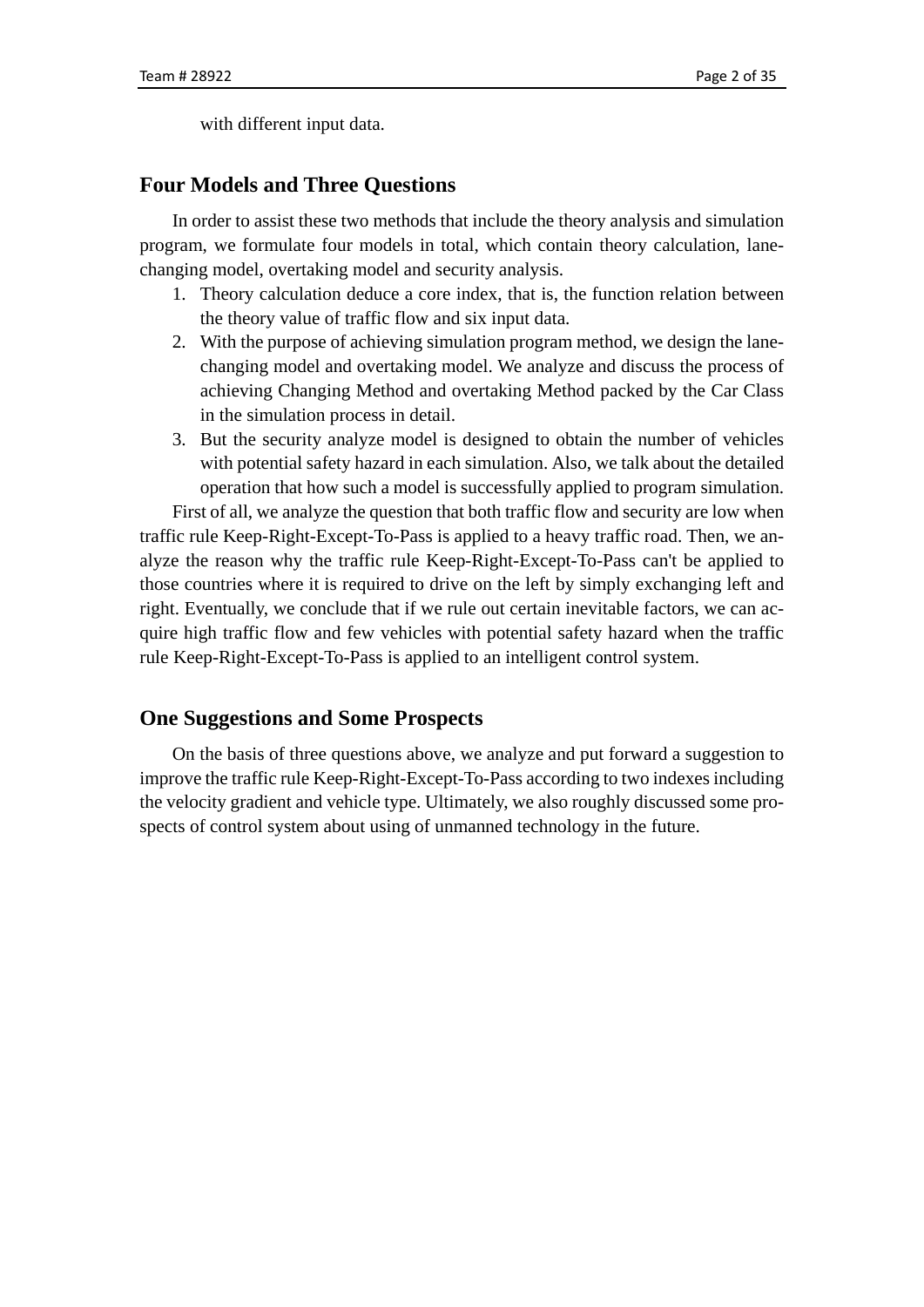with different input data.

### **Four Models and Three Questions**

In order to assist these two methods that include the theory analysis and simulation program, we formulate four models in total, which contain theory calculation, lanechanging model, overtaking model and security analysis.

- 1. Theory calculation deduce a core index, that is, the function relation between the theory value of traffic flow and six input data.
- 2. With the purpose of achieving simulation program method, we design the lanechanging model and overtaking model. We analyze and discuss the process of achieving Changing Method and overtaking Method packed by the Car Class in the simulation process in detail.
- 3. But the security analyze model is designed to obtain the number of vehicles with potential safety hazard in each simulation. Also, we talk about the detailed operation that how such a model is successfully applied to program simulation.

First of all, we analyze the question that both traffic flow and security are low when traffic rule Keep-Right-Except-To-Pass is applied to a heavy traffic road. Then, we analyze the reason why the traffic rule Keep-Right-Except-To-Pass can't be applied to those countries where it is required to drive on the left by simply exchanging left and right. Eventually, we conclude that if we rule out certain inevitable factors, we can acquire high traffic flow and few vehicles with potential safety hazard when the traffic rule Keep-Right-Except-To-Pass is applied to an intelligent control system.

#### **One Suggestions and Some Prospects**

On the basis of three questions above, we analyze and put forward a suggestion to improve the traffic rule Keep-Right-Except-To-Pass according to two indexes including the velocity gradient and vehicle type. Ultimately, we also roughly discussed some prospects of control system about using of unmanned technology in the future.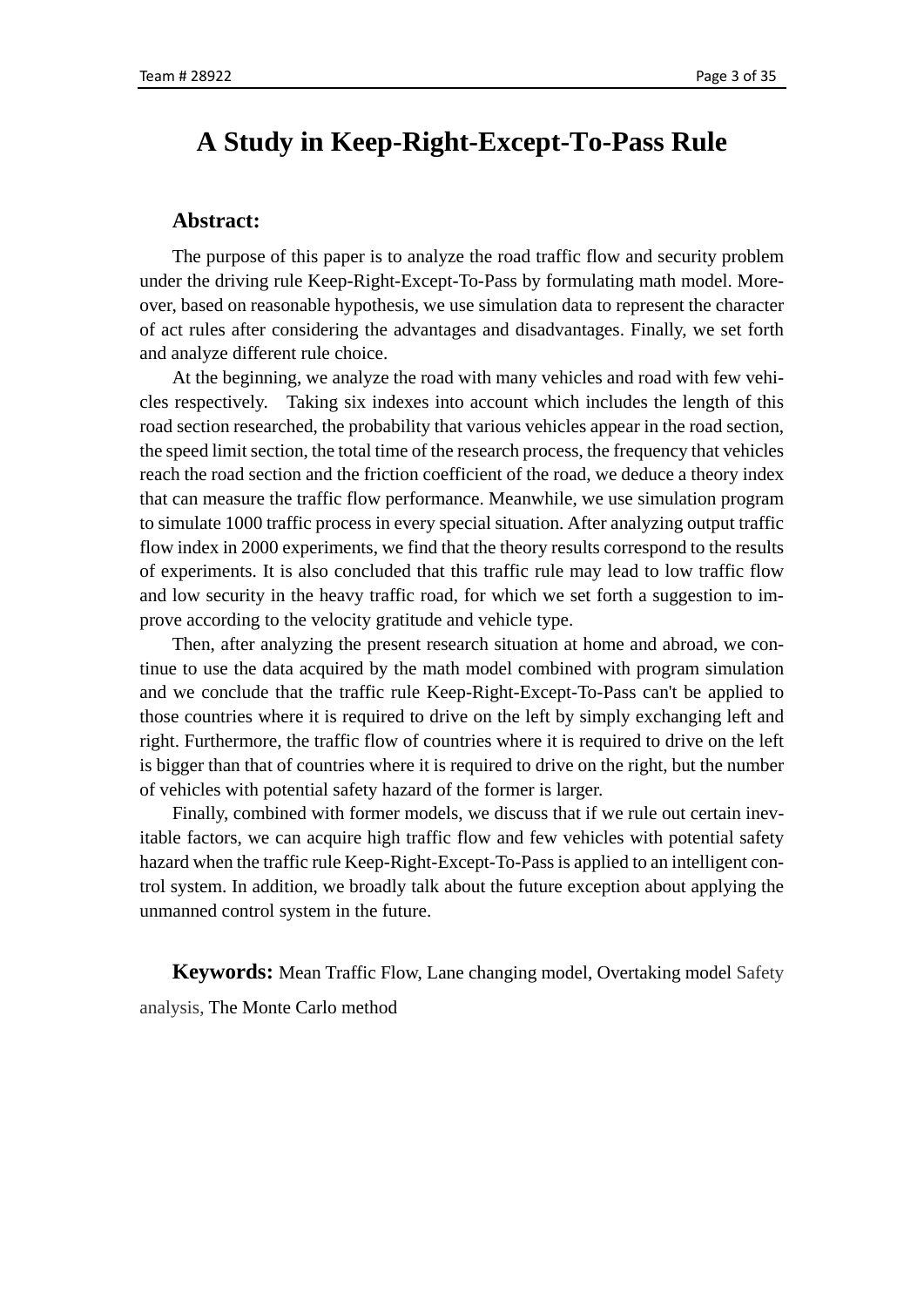## <span id="page-2-0"></span>**A Study in Keep-Right-Except-To-Pass Rule**

#### **Abstract:**

The purpose of this paper is to analyze the road traffic flow and security problem under the driving rule Keep-Right-Except-To-Pass by formulating math model. Moreover, based on reasonable hypothesis, we use simulation data to represent the character of act rules after considering the advantages and disadvantages. Finally, we set forth and analyze different rule choice.

At the beginning, we analyze the road with many vehicles and road with few vehicles respectively. Taking six indexes into account which includes the length of this road section researched, the probability that various vehicles appear in the road section, the speed limit section, the total time of the research process, the frequency that vehicles reach the road section and the friction coefficient of the road, we deduce a theory index that can measure the traffic flow performance. Meanwhile, we use simulation program to simulate 1000 traffic process in every special situation. After analyzing output traffic flow index in 2000 experiments, we find that the theory results correspond to the results of experiments. It is also concluded that this traffic rule may lead to low traffic flow and low security in the heavy traffic road, for which we set forth a suggestion to improve according to the velocity gratitude and vehicle type.

Then, after analyzing the present research situation at home and abroad, we continue to use the data acquired by the math model combined with program simulation and we conclude that the traffic rule Keep-Right-Except-To-Pass can't be applied to those countries where it is required to drive on the left by simply exchanging left and right. Furthermore, the traffic flow of countries where it is required to drive on the left is bigger than that of countries where it is required to drive on the right, but the number of vehicles with potential safety hazard of the former is larger.

Finally, combined with former models, we discuss that if we rule out certain inevitable factors, we can acquire high traffic flow and few vehicles with potential safety hazard when the traffic rule Keep-Right-Except-To-Pass is applied to an intelligent control system. In addition, we broadly talk about the future exception about applying the unmanned control system in the future.

**Keywords:** Mean Traffic Flow, Lane changing model, Overtaking model Safety analysis, The Monte Carlo method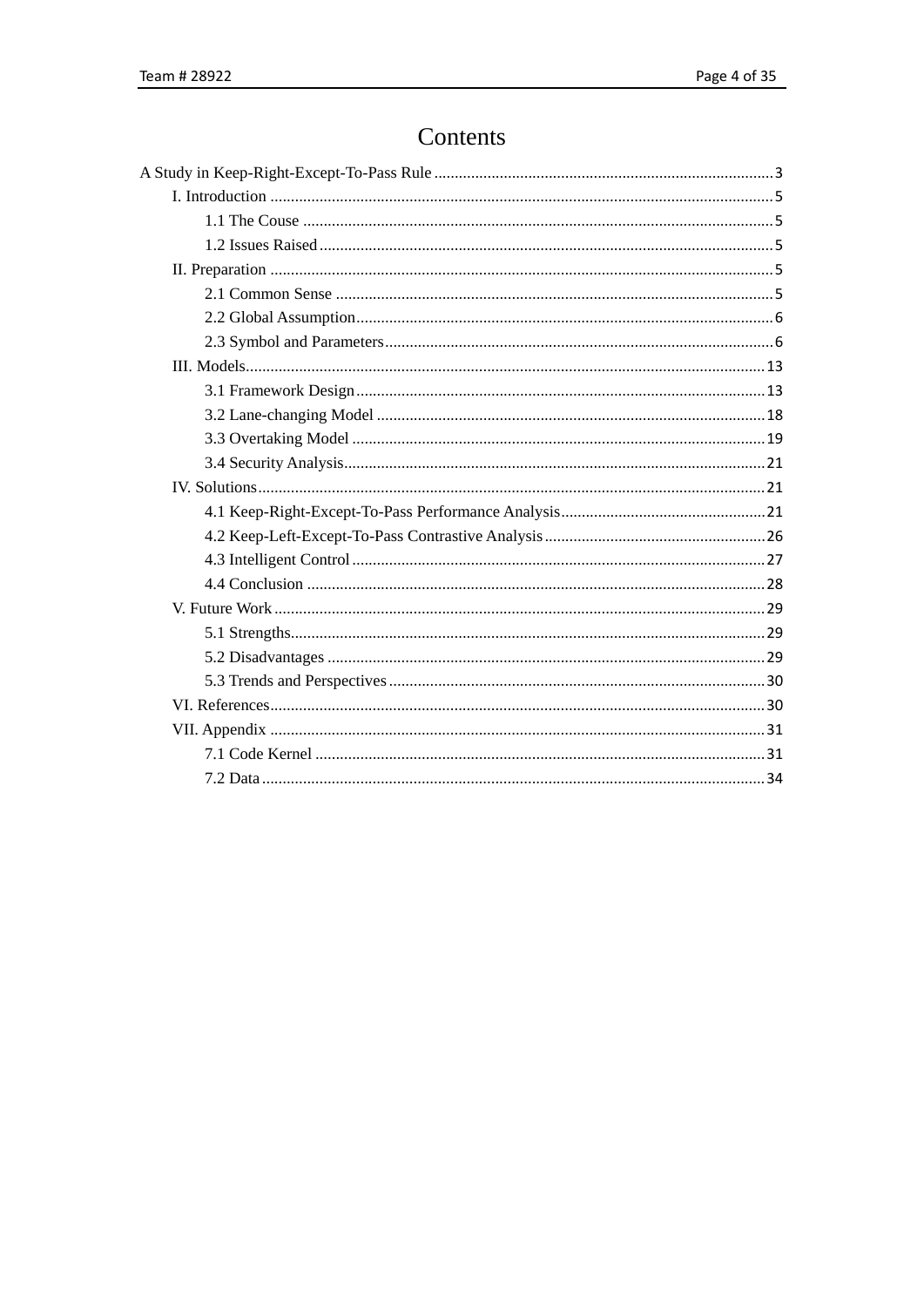# Contents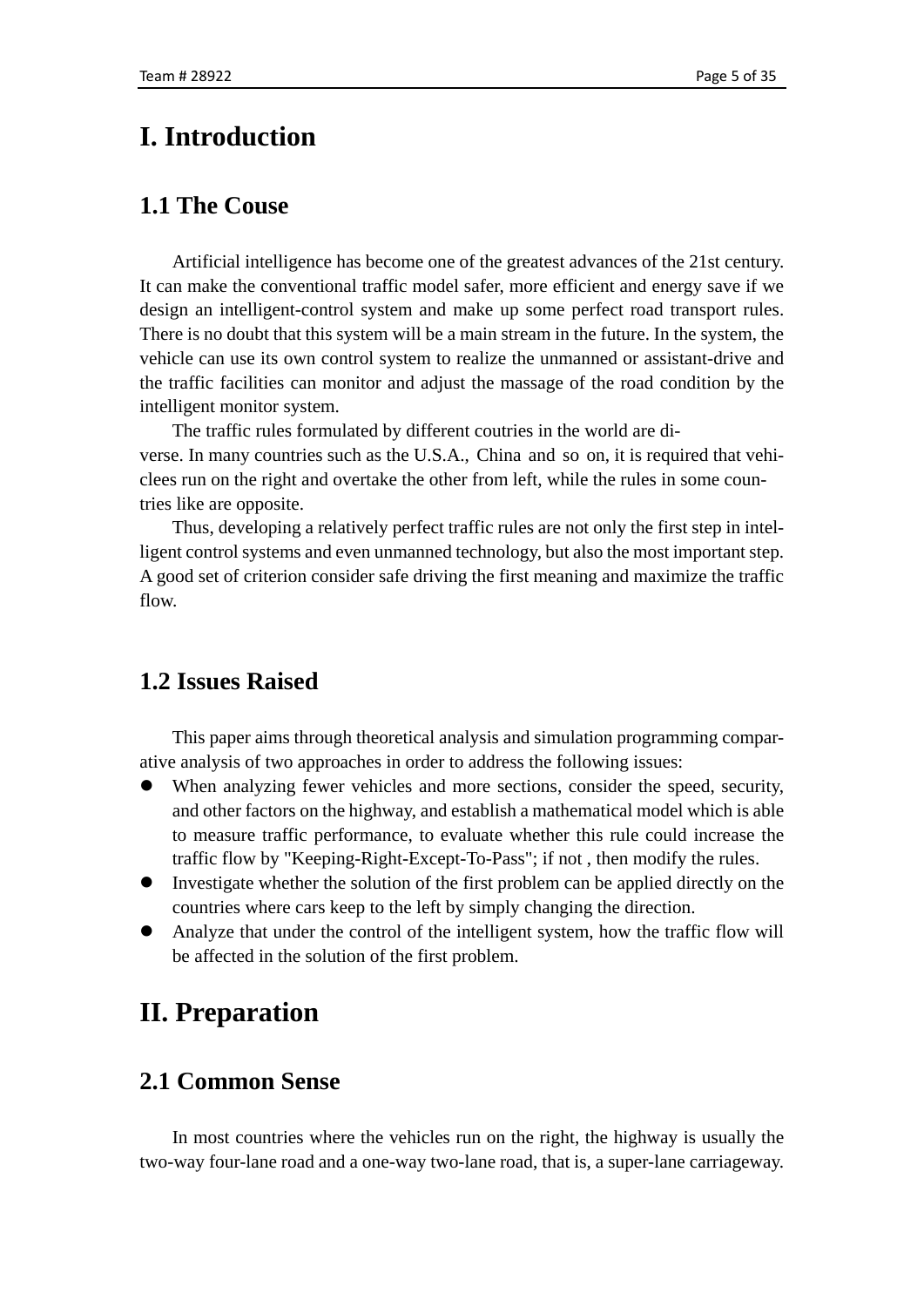# <span id="page-4-0"></span>**I. Introduction**

## <span id="page-4-1"></span>**1.1 The Couse**

Artificial intelligence has become one of the greatest advances of the 21st century. It can make the conventional traffic model safer, more efficient and energy save if we design an intelligent-control system and make up some perfect road transport rules. There is no doubt that this system will be a main stream in the future. In the system, the vehicle can use its own control system to realize the unmanned or assistant-drive and the traffic facilities can monitor and adjust the massage of the road condition by the intelligent monitor system.

The traffic rules formulated by different coutries in the world are diverse. In many countries such as the U.S.A., China and so on, it is required that vehiclees run on the right and overtake the other from left, while the rules in some countries like are opposite.

Thus, developing a relatively perfect traffic rules are not only the first step in intelligent control systems and even unmanned technology, but also the most important step. A good set of criterion consider safe driving the first meaning and maximize the traffic flow.

## <span id="page-4-2"></span>**1.2 Issues Raised**

This paper aims through theoretical analysis and simulation programming comparative analysis of two approaches in order to address the following issues:

- When analyzing fewer vehicles and more sections, consider the speed, security, and other factors on the highway, and establish a mathematical model which is able to measure traffic performance, to evaluate whether this rule could increase the traffic flow by "Keeping-Right-Except-To-Pass"; if not , then modify the rules.
- Investigate whether the solution of the first problem can be applied directly on the countries where cars keep to the left by simply changing the direction.
- Analyze that under the control of the intelligent system, how the traffic flow will be affected in the solution of the first problem.

# <span id="page-4-3"></span>**II. Preparation**

## <span id="page-4-4"></span>**2.1 Common Sense**

In most countries where the vehicles run on the right, the highway is usually the two-way four-lane road and a one-way two-lane road, that is, a super-lane carriageway.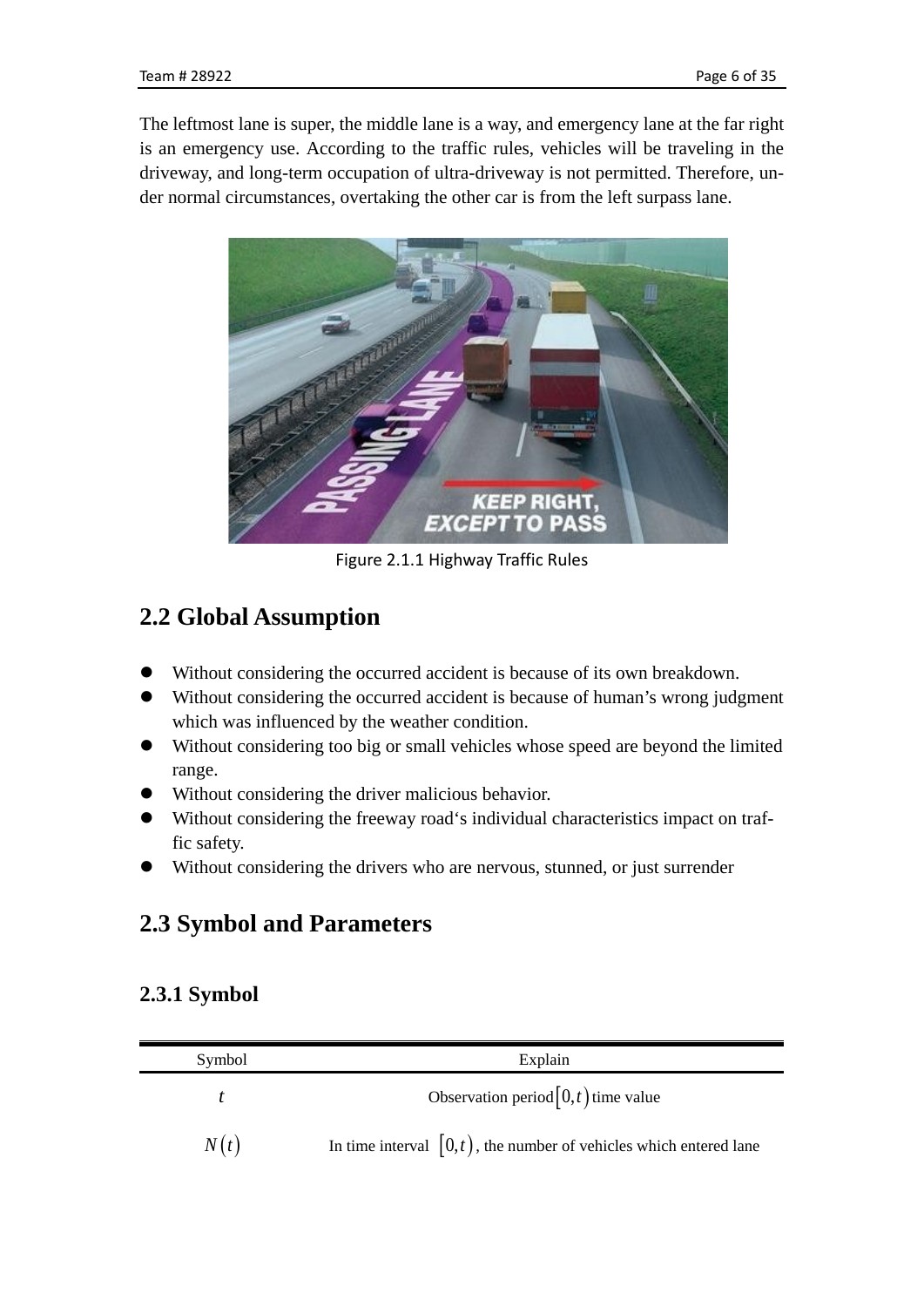The leftmost lane is super, the middle lane is a way, and emergency lane at the far right is an emergency use. According to the traffic rules, vehicles will be traveling in the driveway, and long-term occupation of ultra-driveway is not permitted. Therefore, under normal circumstances, overtaking the other car is from the left surpass lane.



Figure 2.1.1 Highway Traffic Rules

## <span id="page-5-0"></span>**2.2 Global Assumption**

- Without considering the occurred accident is because of its own breakdown.
- Without considering the occurred accident is because of human's wrong judgment which was influenced by the weather condition.
- Without considering too big or small vehicles whose speed are beyond the limited range.
- Without considering the driver malicious behavior.
- Without considering the freeway road's individual characteristics impact on traffic safety.
- <span id="page-5-1"></span>Without considering the drivers who are nervous, stunned, or just surrender

## **2.3 Symbol and Parameters**

## **2.3.1 Symbol**

| Symbol | Explain                                                              |
|--------|----------------------------------------------------------------------|
|        | Observation period $[0,t)$ time value                                |
| N(t)   | In time interval $[0,t)$ , the number of vehicles which entered lane |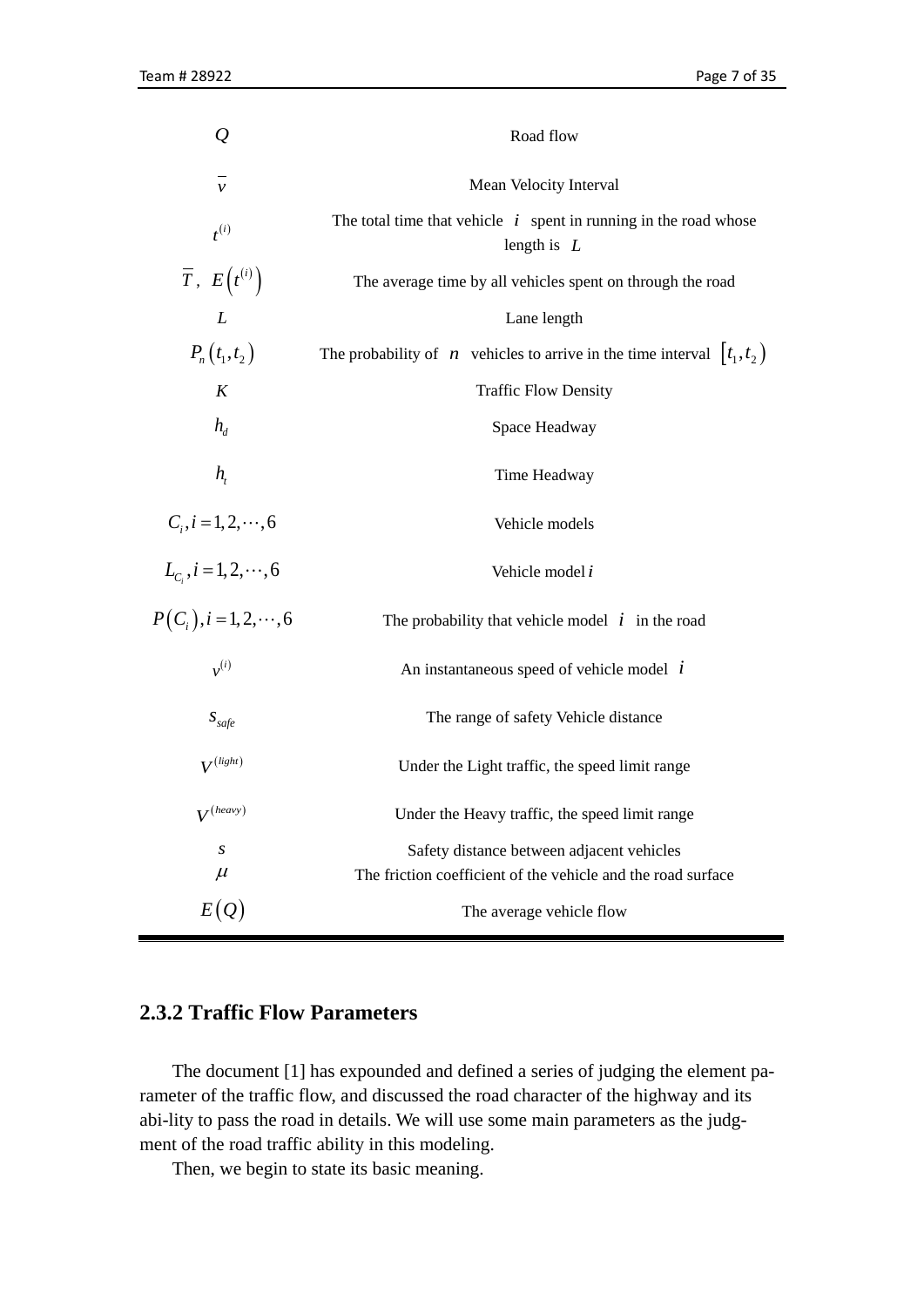| $\overline{\varrho}$             | Road flow                                                                           |  |  |
|----------------------------------|-------------------------------------------------------------------------------------|--|--|
| $\mathcal{V}$                    | Mean Velocity Interval                                                              |  |  |
| $t^{(i)}$                        | The total time that vehicle $i$ spent in running in the road whose<br>length is $L$ |  |  |
| $\overline{T}$ , $E(t^{(i)})$    | The average time by all vehicles spent on through the road                          |  |  |
| $\boldsymbol{L}$                 | Lane length                                                                         |  |  |
| $P_n(t_1,t_2)$                   | The probability of <i>n</i> vehicles to arrive in the time interval $[t_1, t_2)$    |  |  |
| K                                | <b>Traffic Flow Density</b>                                                         |  |  |
| $h_{d}$                          | Space Headway                                                                       |  |  |
| $h_{\scriptscriptstyle t}$       | Time Headway                                                                        |  |  |
| $C_i, i = 1, 2, \dots, 6$        | Vehicle models                                                                      |  |  |
| $L_{C_i}$ , $i = 1, 2, \dots, 6$ | Vehicle model i                                                                     |  |  |
| $P(C_i), i = 1, 2, \dots, 6$     | The probability that vehicle model $i$ in the road                                  |  |  |
| $v^{(i)}$                        | An instantaneous speed of vehicle model $i$                                         |  |  |
| $S_{\text{safe}}$                | The range of safety Vehicle distance                                                |  |  |
| $V^{(light)}$                    | Under the Light traffic, the speed limit range                                      |  |  |
| $V^{(heavy)}$                    | Under the Heavy traffic, the speed limit range                                      |  |  |
| S                                | Safety distance between adjacent vehicles                                           |  |  |
| $\mu$                            | The friction coefficient of the vehicle and the road surface                        |  |  |
| E(Q)                             | The average vehicle flow                                                            |  |  |

## **2.3.2 Traffic Flow Parameters**

The document [1] has expounded and defined a series of judging the element parameter of the traffic flow, and discussed the road character of the highway and its abi-lity to pass the road in details. We will use some main parameters as the judgment of the road traffic ability in this modeling.

Then, we begin to state its basic meaning.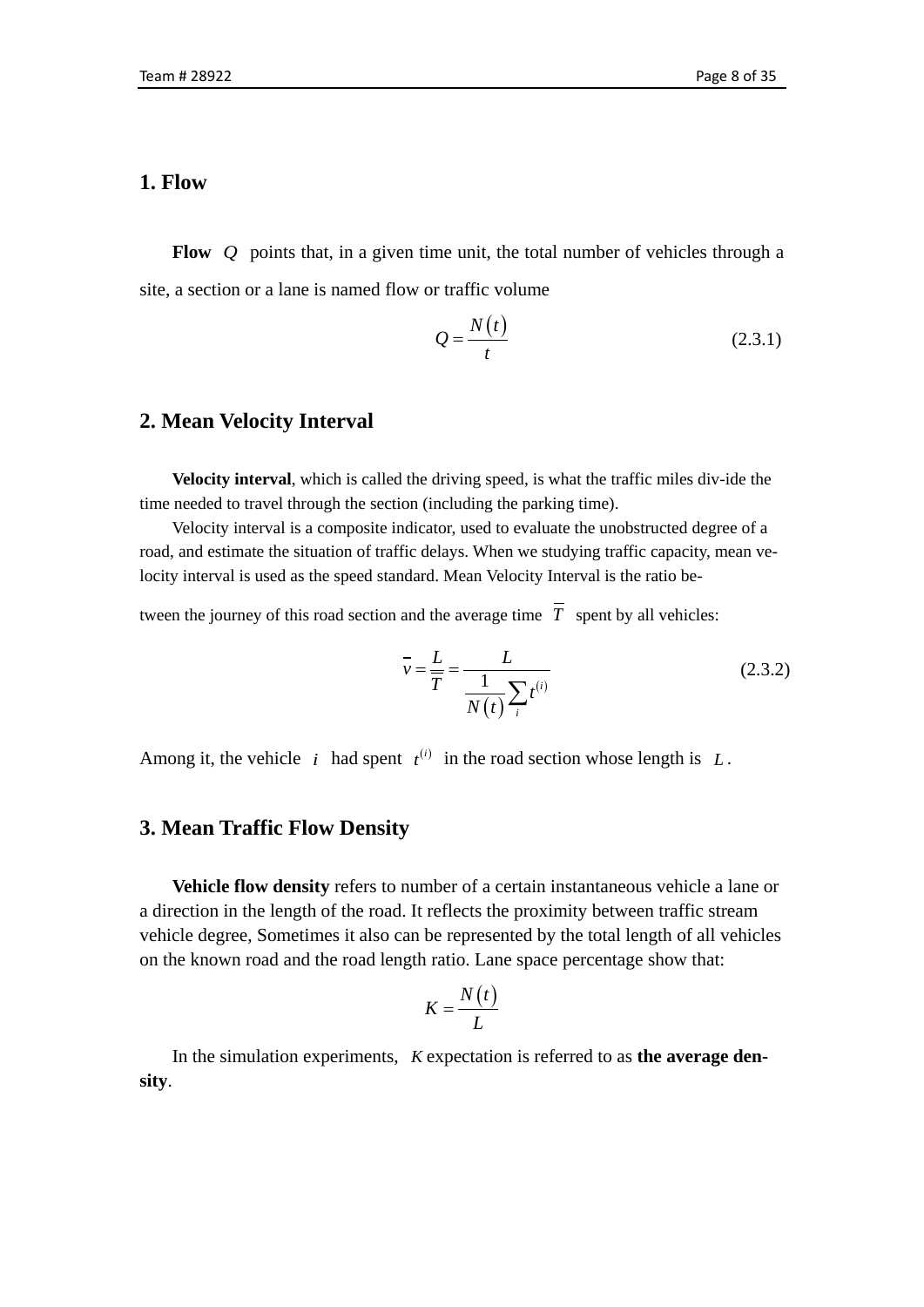## **1. Flow**

**Flow** *Q* points that, in a given time unit, the total number of vehicles through a site, a section or a lane is named flow or traffic volume

$$
Q = \frac{N(t)}{t} \tag{2.3.1}
$$

### **2. Mean Velocity Interval**

**Velocity interval**, which is called the driving speed, is what the traffic miles div-ide the time needed to travel through the section (including the parking time).

Velocity interval is a composite indicator, used to evaluate the unobstructed degree of a road, and estimate the situation of traffic delays. When we studying traffic capacity, mean velocity interval is used as the speed standard. Mean Velocity Interval is the ratio be-

tween the journey of this road section and the average time  $\overline{T}$  spent by all vehicles:

$$
\bar{v} = \frac{L}{T} = \frac{L}{\frac{1}{N(t)} \sum_{i} t^{(i)}}\tag{2.3.2}
$$

Among it, the vehicle *i* had spent  $t^{(i)}$  in the road section whose length is L.

## **3. Mean Traffic Flow Density**

**Vehicle flow density** refers to number of a certain instantaneous vehicle a lane or a direction in the length of the road. It reflects the proximity between traffic stream vehicle degree, Sometimes it also can be represented by the total length of all vehicles on the known road and the road length ratio. Lane space percentage show that:

$$
K = \frac{N(t)}{L}
$$

In the simulation experiments, *K* expectation is referred to as **the average density**.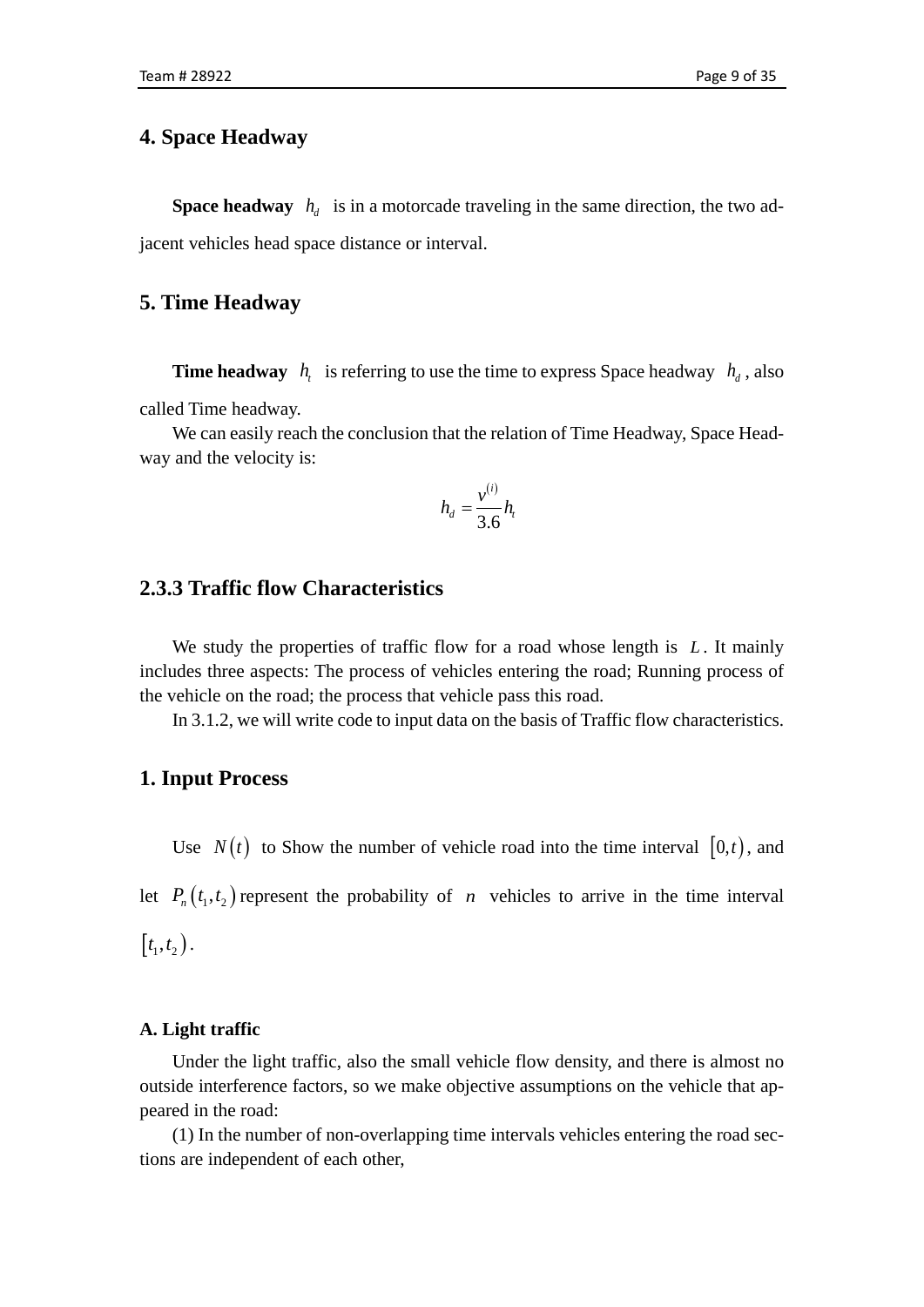### **4. Space Headway**

**Space headway**  $h_{d}$  is in a motorcade traveling in the same direction, the two adjacent vehicles head space distance or interval.

### **5. Time Headway**

**Time headway**  $h_i$  is referring to use the time to express Space headway  $h_i$ , also called Time headway.

We can easily reach the conclusion that the relation of Time Headway, Space Headway and the velocity is:

$$
h_d = \frac{v^{(i)}}{3.6}h_i
$$

### **2.3.3 Traffic flow Characteristics**

We study the properties of traffic flow for a road whose length is L. It mainly includes three aspects: The process of vehicles entering the road; Running process of the vehicle on the road; the process that vehicle pass this road.

In 3.1.2, we will write code to input data on the basis of Traffic flow characteristics.

#### **1. Input Process**

Use  $N(t)$  to Show the number of vehicle road into the time interval  $[0,t)$ , and let  $P_n(t_1, t_2)$  represent the probability of *n* vehicles to arrive in the time interval  $[t_1, t_2].$ 

#### **A. Light traffic**

Under the light traffic, also the small vehicle flow density, and there is almost no outside interference factors, so we make objective assumptions on the vehicle that appeared in the road:

(1) In the number of non-overlapping time intervals vehicles entering the road sections are independent of each other,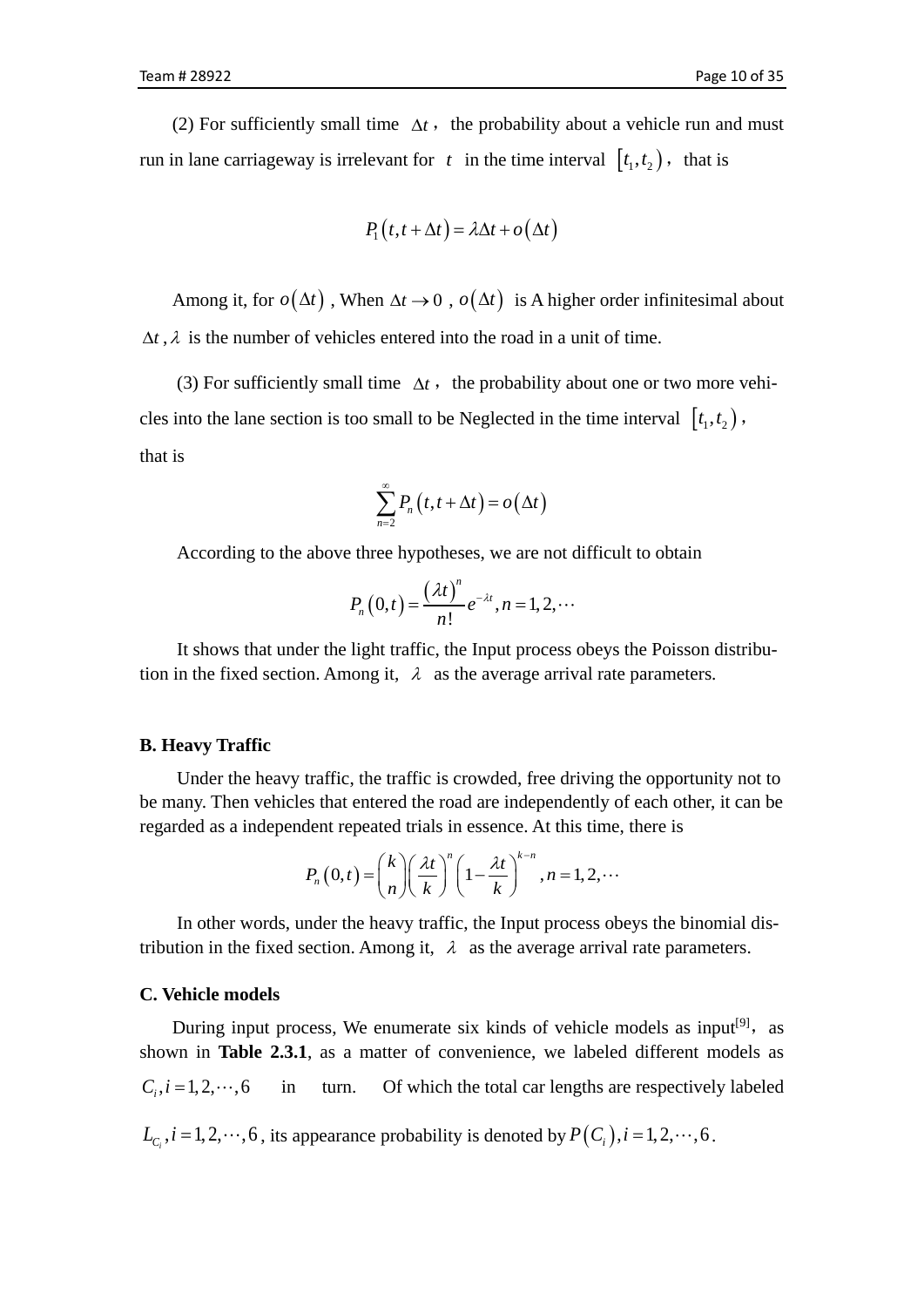(2) For sufficiently small time  $\Delta t$ , the probability about a vehicle run and must run in lane carriageway is irrelevant for  $t$  in the time interval  $[t_1, t_2)$ , that is

$$
P_1(t, t + \Delta t) = \lambda \Delta t + o(\Delta t)
$$

Among it, for  $o(\Delta t)$ , When  $\Delta t \to 0$ ,  $o(\Delta t)$  is A higher order infinitesimal about  $\Delta t$ ,  $\lambda$  is the number of vehicles entered into the road in a unit of time.

(3) For sufficiently small time  $\Delta t$ , the probability about one or two more vehicles into the lane section is too small to be Neglected in the time interval  $[t_1, t_2)$ , that is

$$
\sum_{n=2}^{\infty} P_n(t, t + \Delta t) = o(\Delta t)
$$

According to the above three hypotheses, we are not difficult to obtain

$$
P_n(0,t) = \frac{(\lambda t)^n}{n!} e^{-\lambda t}, n = 1, 2, \cdots
$$

It shows that under the light traffic, the Input process obeys the Poisson distribution in the fixed section. Among it,  $\lambda$  as the average arrival rate parameters.

#### **B. Heavy Traffic**

Under the heavy traffic, the traffic is crowded, free driving the opportunity not to be many. Then vehicles that entered the road are independently of each other, it can be regarded as a independent repeated trials in essence. At this time, there is

$$
P_n(0,t) = \binom{k}{n} \left(\frac{\lambda t}{k}\right)^n \left(1 - \frac{\lambda t}{k}\right)^{k-n}, n = 1, 2, \cdots
$$

In other words, under the heavy traffic, the Input process obeys the binomial distribution in the fixed section. Among it,  $\lambda$  as the average arrival rate parameters.

#### **C. Vehicle models**

During input process, We enumerate six kinds of vehicle models as input<sup>[9]</sup>, as shown in **Table 2.3.1**, as a matter of convenience, we labeled different models as  $C_i, i = 1, 2, \dots, 6$  in turn. Of which the total car lengths are respectively labeled  $L_{C_i}$ ,  $i = 1,2,\dots,6$ , its appearance probability is denoted by  $P(C_i)$ ,  $i = 1,2,\dots,6$ .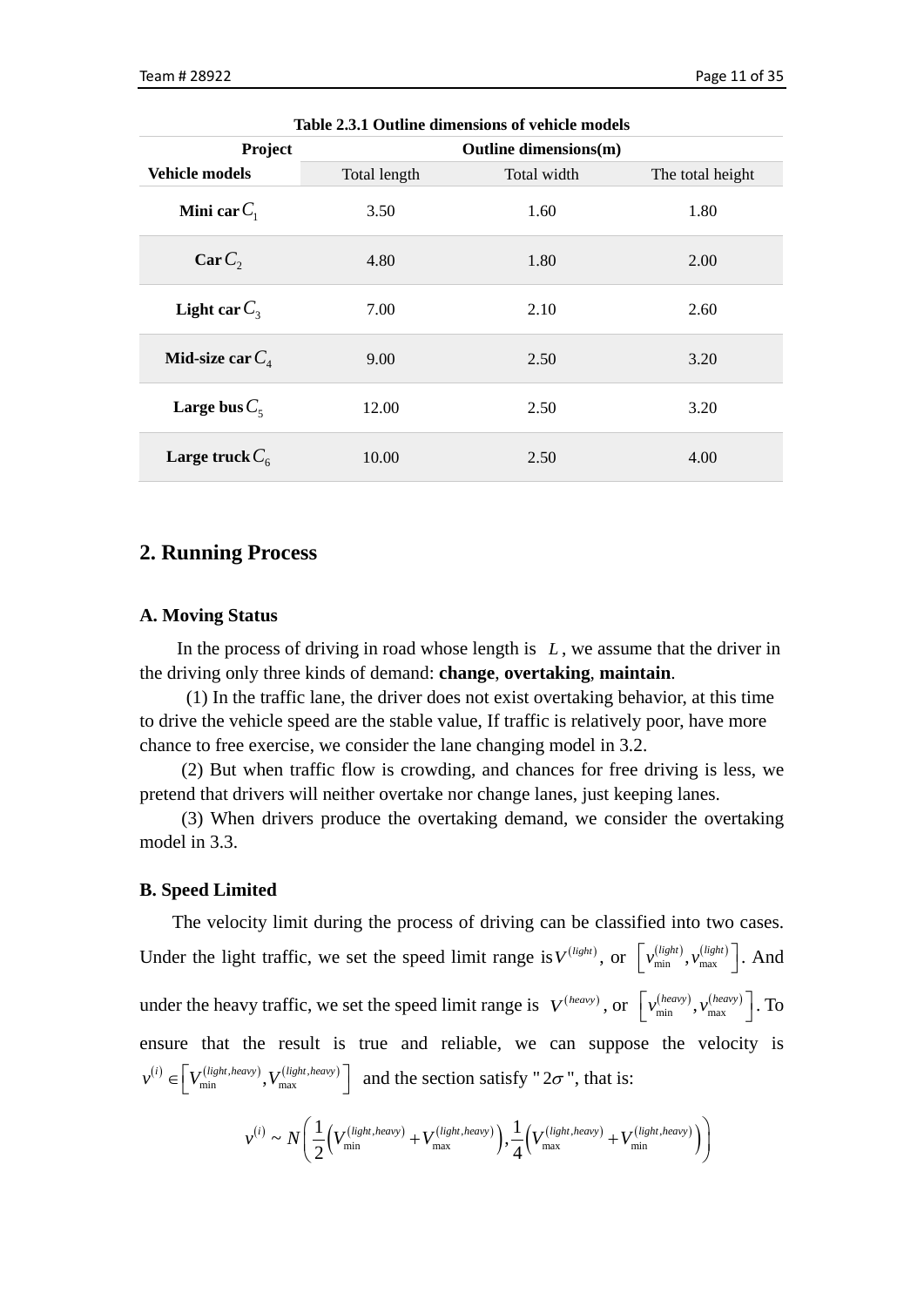| Project               | Outline dimensions(m) |             |                  |  |
|-----------------------|-----------------------|-------------|------------------|--|
| <b>Vehicle models</b> | Total length          | Total width | The total height |  |
| Mini car $C_1$        | 3.50                  | 1.60        | 1.80             |  |
| CarC <sub>2</sub>     | 4.80                  | 1.80        | 2.00             |  |
| Light car $C_3$       | 7.00                  | 2.10        | 2.60             |  |
| Mid-size car $C_4$    | 9.00                  | 2.50        | 3.20             |  |
| Large bus $C_5$       | 12.00                 | 2.50        | 3.20             |  |
| Large truck $C_6$     | 10.00                 | 2.50        | 4.00             |  |

**Table 2.3.1 Outline dimensions of vehicle models**

### **2. Running Process**

#### **A. Moving Status**

In the process of driving in road whose length is *L* , we assume that the driver in the driving only three kinds of demand: **change**, **overtaking**, **maintain**.

(1) In the traffic lane, the driver does not exist overtaking behavior, at this time to drive the vehicle speed are the stable value, If traffic is relatively poor, have more chance to free exercise, we consider the lane changing model in 3.2.

(2) But when traffic flow is crowding, and chances for free driving is less, we pretend that drivers will neither overtake nor change lanes, just keeping lanes.

(3) When drivers produce the overtaking demand, we consider the overtaking model in 3.3.

#### **B. Speed Limited**

The velocity limit during the process of driving can be classified into two cases. Under the light traffic, we set the speed limit range is  $V^{(light)}$ , or  $\left[ v_{min}^{(light)} , v_{max}^{(light)} \right]$ . And under the heavy traffic, we set the speed limit range is  $V^{(heavy)}$ , or  $\left[ v_{min}^{(heavy)}, v_{max}^{(heavy)} \right]$ . To ensure that the result is true and reliable, we can suppose the velocity is  $v^{(i)} \in V_{\min}^{(light, heavy)}, V_{\max}^{(light, heavy)} \right]$  and the section satisfy "  $2\sigma$  ", that is:

$$
v^{(i)} \sim N\left(\frac{1}{2}\left(V_{\min}^{(light, heavy)} + V_{\max}^{(light, heavy)}\right), \frac{1}{4}\left(V_{\max}^{(light, heavy)} + V_{\min}^{(light, heavy)}\right)\right)
$$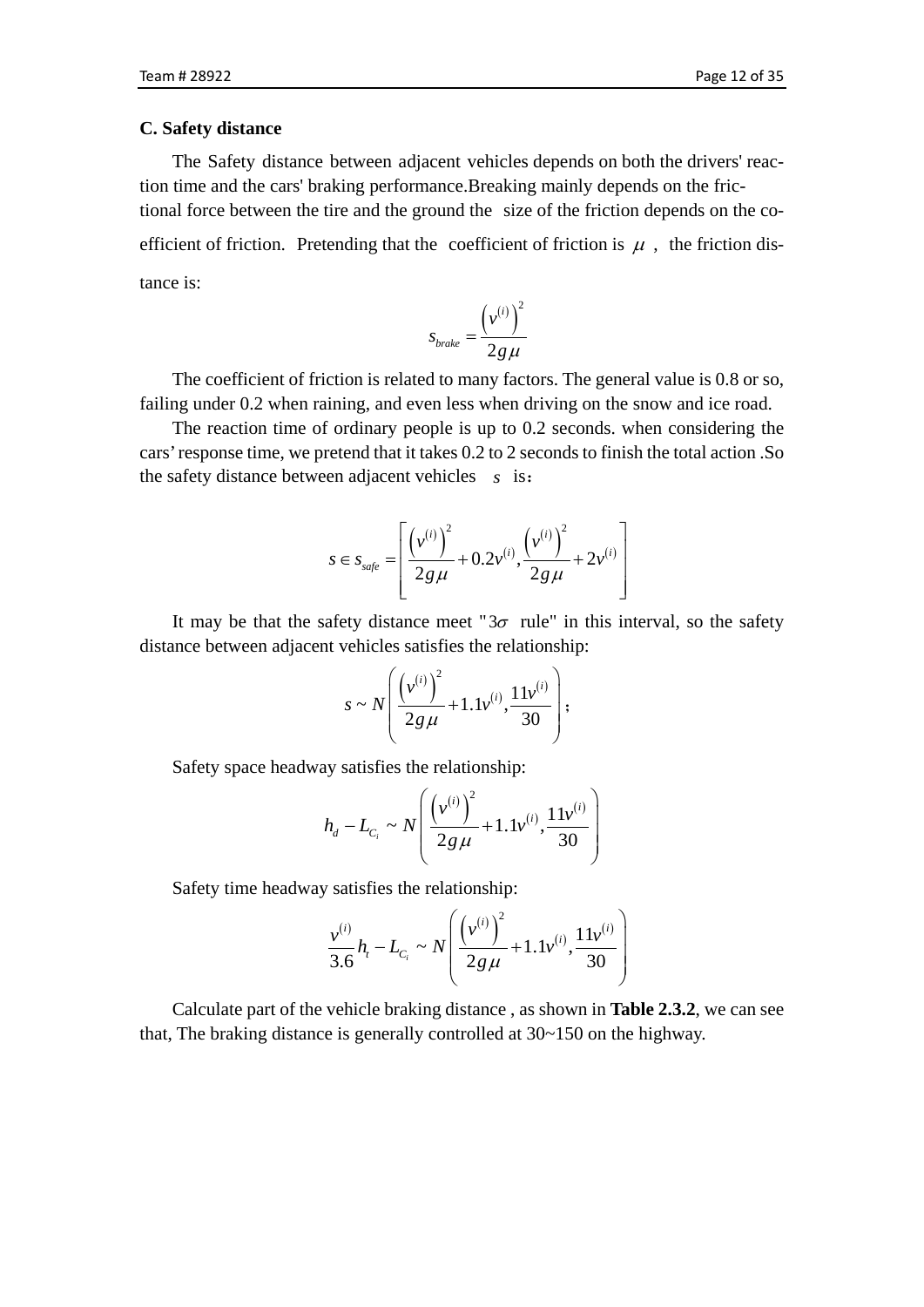#### **C. Safety distance**

The Safety distance between adjacent vehicles depends on both the drivers' reaction time and the cars' braking performance.Breaking mainly depends on the frictional force between the tire and the ground the size of the friction depends on the coefficient of friction. Pretending that the coefficient of friction is  $\mu$ , the friction distance is:

$$
s_{\text{brake}} = \frac{\left(v^{(i)}\right)^2}{2g\,\mu}
$$

The coefficient of friction is related to many factors. The general value is 0.8 or so, failing under 0.2 when raining, and even less when driving on the snow and ice road.

The reaction time of ordinary people is up to 0.2 seconds. when considering the cars' response time, we pretend that it takes 0.2 to 2 seconds to finish the total action .So the safety distance between adjacent vehicles *s* is:

$$
s \in s_{\text{safe}} = \left[ \frac{\left( v^{(i)} \right)^2}{2g\,\mu} + 0.2v^{(i)}, \frac{\left( v^{(i)} \right)^2}{2g\,\mu} + 2v^{(i)} \right]
$$

It may be that the safety distance meet " $3\sigma$  rule" in this interval, so the safety distance between adjacent vehicles satisfies the relationship:

$$
s \sim N\left(\frac{\left(v^{(i)}\right)^2}{2g\mu} + 1.1v^{(i)}, \frac{11v^{(i)}}{30}\right);
$$

Safety space headway satisfies the relationship:

$$
h_d - L_{C_i} \sim N \left( \frac{\left( v^{(i)} \right)^2}{2g\,\mu} + 1.1 v^{(i)}, \frac{11 v^{(i)}}{30} \right)
$$

Safety time headway satisfies the relationship:

$$
\frac{v^{(i)}}{3.6}h_i - L_{C_i} \sim N\left(\frac{\left(v^{(i)}\right)^2}{2g\mu} + 1.1v^{(i)}, \frac{11v^{(i)}}{30}\right)
$$

Calculate part of the vehicle braking distance , as shown in **Table 2.3.2**, we can see that, The braking distance is generally controlled at 30~150 on the highway.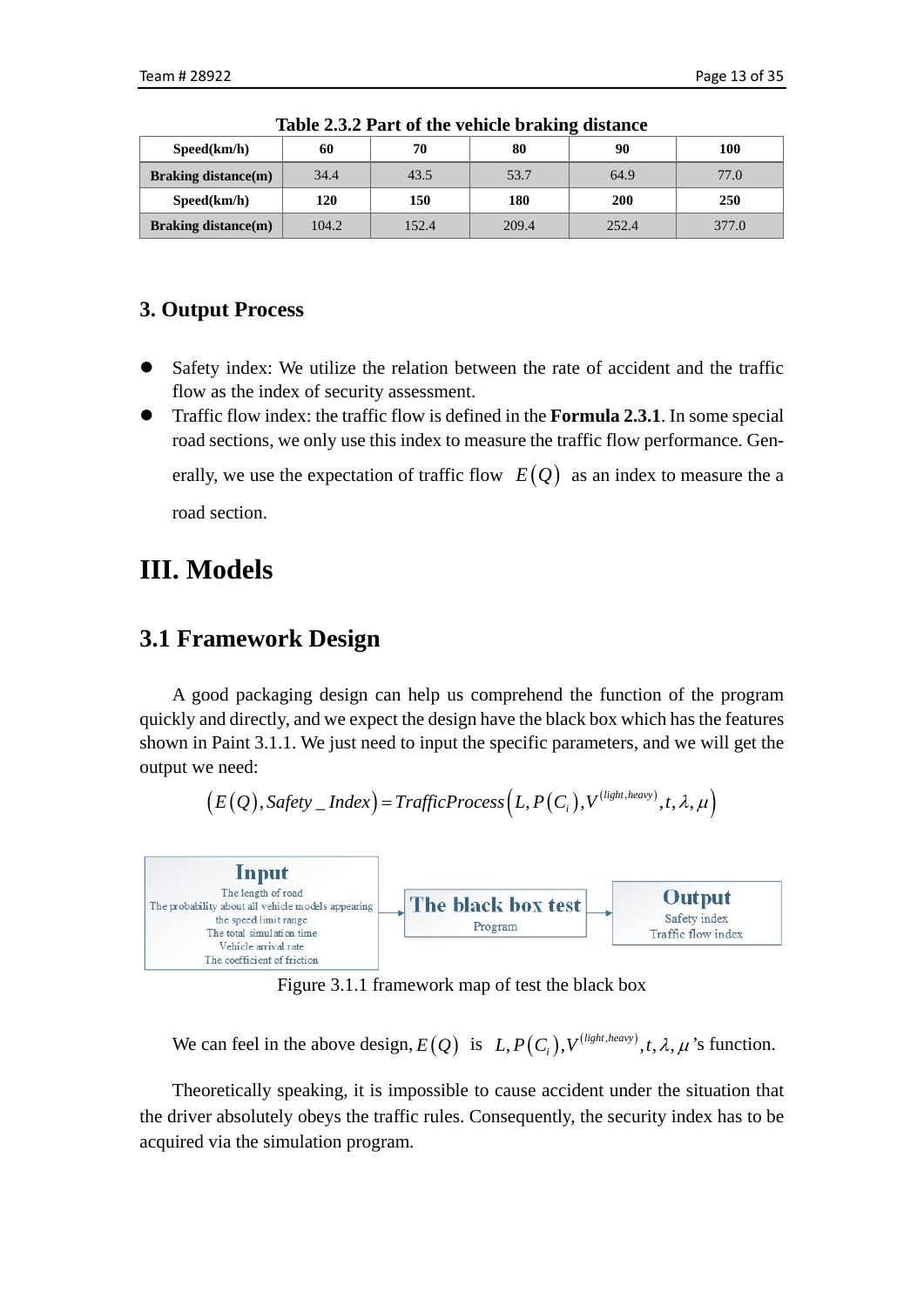| Speed(km/h)                | 60    | 70    | 80    | 90         | 100   |
|----------------------------|-------|-------|-------|------------|-------|
| <b>Braking distance(m)</b> | 34.4  | 43.5  | 53.7  | 64.9       | 77.0  |
| Speed(km/h)                | 120   | 150   | 180   | <b>200</b> | 250   |
| <b>Braking distance(m)</b> | 104.2 | 152.4 | 209.4 | 252.4      | 377.0 |

**Table 2.3.2 Part of the vehicle braking distance**

## **3. Output Process**

- Safety index: We utilize the relation between the rate of accident and the traffic flow as the index of security assessment.
- Traffic flow index: the traffic flow is defined in the **Formula 2.3.1**. In some special road sections, we only use this index to measure the traffic flow performance. Generally, we use the expectation of traffic flow  $E(Q)$  as an index to measure the a road section.

# <span id="page-12-0"></span>**III. Models**

## <span id="page-12-1"></span>**3.1 Framework Design**

A good packaging design can help us comprehend the function of the program quickly and directly, and we expect the design have the black box which has the features shown in Paint 3.1.1. We just need to input the specific parameters, and we will get the output we need:

$$
(E(Q),\textit{Safety}\_\textit{Index}) = \textit{TrafficProcess}(L,P(C_i),V^{(light,heavy)},t,\lambda,\mu)
$$



Figure 3.1.1 framework map of test the black box

We can feel in the above design,  $E(Q)$  is  $L, P(C_i), V^{(light, heavy)}$ ,  $t, \lambda, \mu$  's function.

Theoretically speaking, it is impossible to cause accident under the situation that the driver absolutely obeys the traffic rules. Consequently, the security index has to be acquired via the simulation program.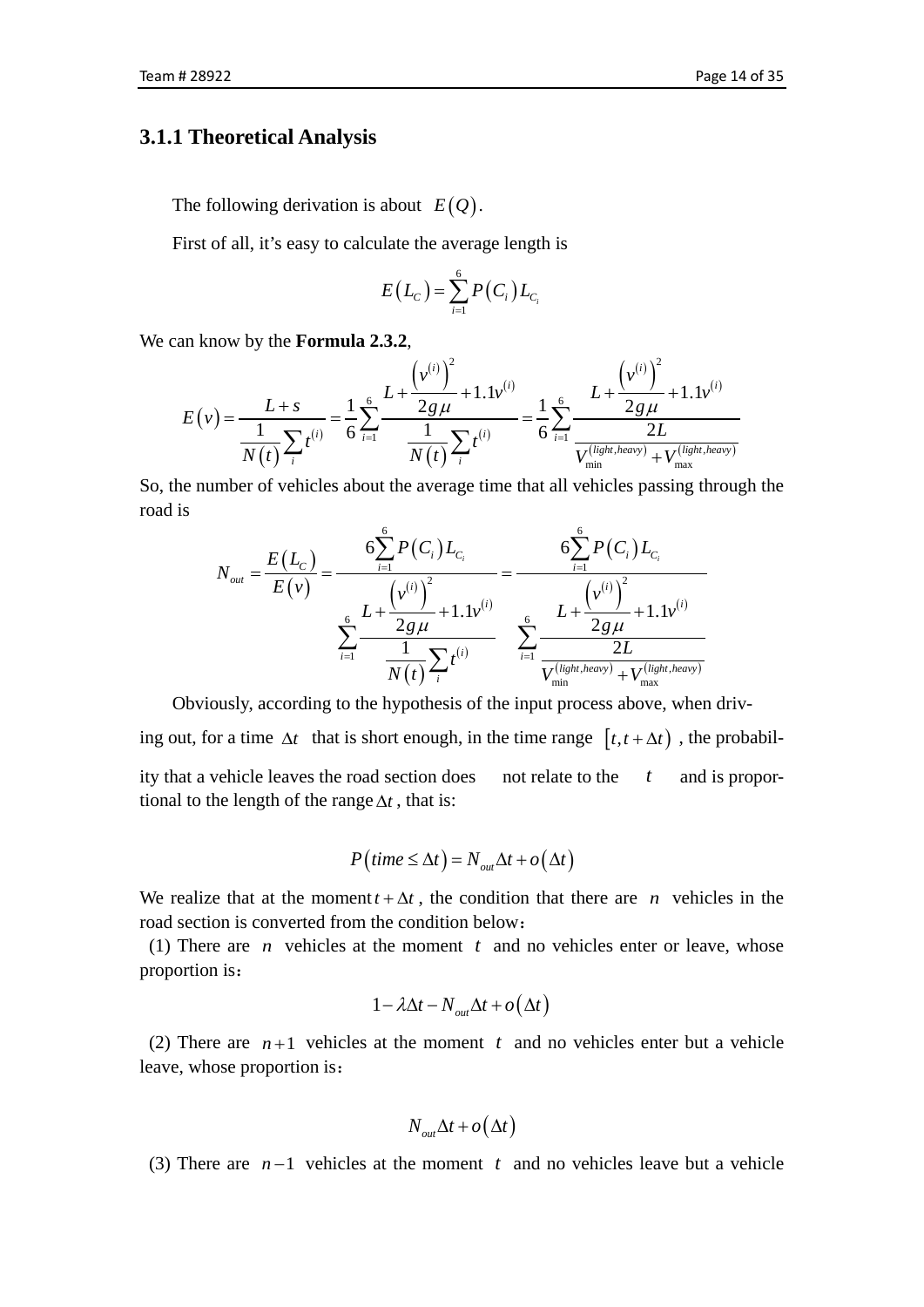### **3.1.1 Theoretical Analysis**

The following derivation is about  $E(Q)$ .

First of all, it's easy to calculate the average length is

$$
E(L_C) = \sum_{i=1}^{6} P(C_i) L_{C_i}
$$

We can know by the **Formula 2.3.2**,

$$
E(v) = \frac{L+s}{\frac{1}{N(t)}\sum_{i} t^{(i)}} = \frac{1}{6} \sum_{i=1}^{6} \frac{L+\frac{(v^{(i)})^2}{2g\mu} + 1.1v^{(i)}}{\frac{1}{N(t)}\sum_{i} t^{(i)}} = \frac{1}{6} \sum_{i=1}^{6} \frac{L+\frac{(v^{(i)})^2}{2g\mu} + 1.1v^{(i)}}{\frac{2L}{V_{\min}^{(light, heavy)} + V_{\max}^{(light, heavy)}}}
$$

So, the number of vehicles about the average time that all vehicles passing through the road is

$$
N_{out} = \frac{E(L_C)}{E(v)} = \frac{6\sum_{i=1}^{6} P(C_i) L_{C_i}}{E(v)} = \frac{6\sum_{i=1}^{6} P(C_i) L_{C_i}}{\sum_{i=1}^{6} \frac{L + \frac{(v^{(i)})^2}{2g\mu} + 1.1v^{(i)}}{N(t)} \sum_{i=1}^{6} \frac{L + \frac{(v^{(i)})^2}{2g\mu} + 1.1v^{(i)}}{V_{min}^{(light, heavy)} + V_{max}^{(light, heavy)}}
$$

Obviously, according to the hypothesis of the input process above, when driving out, for a time  $\Delta t$  that is short enough, in the time range  $[t, t + \Delta t]$ , the probability that a vehicle leaves the road section does not relate to the *t* and is proportional to the length of the range∆*t* , that is:

$$
P\left(\text{time} \leq \Delta t\right) = N_{\text{out}}\Delta t + o\left(\Delta t\right)
$$

We realize that at the moment  $t + \Delta t$ , the condition that there are *n* vehicles in the road section is converted from the condition below:

(1) There are *n* vehicles at the moment *t* and no vehicles enter or leave, whose proportion is:

$$
1 - \lambda \Delta t - N_{out} \Delta t + o(\Delta t)
$$

(2) There are  $n+1$  vehicles at the moment t and no vehicles enter but a vehicle leave, whose proportion is:

$$
N_{\rm out}\Delta t + o(\Delta t)
$$

(3) There are *n* −1 vehicles at the moment *t* and no vehicles leave but a vehicle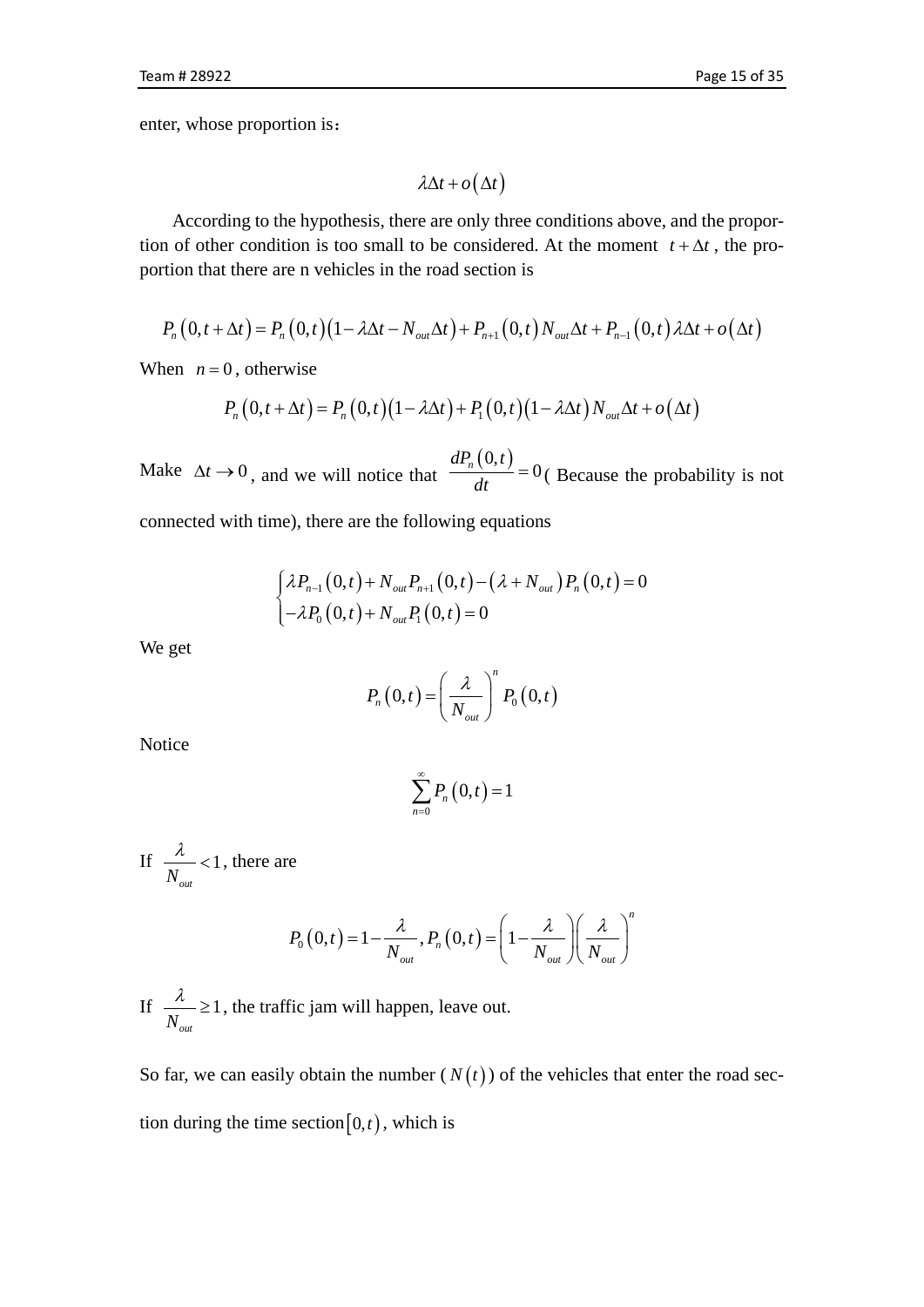enter, whose proportion is:

$$
\lambda \Delta t + o(\Delta t)
$$

According to the hypothesis, there are only three conditions above, and the proportion of other condition is too small to be considered. At the moment  $t + \Delta t$ , the proportion that there are n vehicles in the road section is

$$
P_n(0,t+\Delta t) = P_n(0,t)(1-\lambda\Delta t - N_{out}\Delta t) + P_{n+1}(0,t)N_{out}\Delta t + P_{n-1}(0,t)\lambda\Delta t + o(\Delta t)
$$

When  $n = 0$ , otherwise

$$
P_n(0,t+\Delta t) = P_n(0,t)(1-\lambda\Delta t) + P_1(0,t)(1-\lambda\Delta t)N_{out}\Delta t + o(\Delta t)
$$

Make  $\Delta t \rightarrow 0$ , and we will notice that  $\frac{dP_n(0,t)}{dt} = 0$  (Because the probability is not

connected with time), there are the following equations

$$
\begin{cases} \lambda P_{n-1}(0,t) + N_{out} P_{n+1}(0,t) - (\lambda + N_{out}) P_n(0,t) = 0 \\ -\lambda P_0(0,t) + N_{out} P_1(0,t) = 0 \end{cases}
$$

We get

$$
P_n(0,t) = \left(\frac{\lambda}{N_{out}}\right)^n P_0(0,t)
$$

Notice

$$
\sum_{n=0}^{\infty} P_n\left(0,t\right) = 1
$$

If  $\frac{\pi}{11}$  <1  $N_{_{out}}$  $\frac{\lambda}{\lambda}$  < 1, there are

$$
P_0(0,t) = 1 - \frac{\lambda}{N_{out}}, P_n(0,t) = \left(1 - \frac{\lambda}{N_{out}}\right) \left(\frac{\lambda}{N_{out}}\right)^n
$$

If  $\frac{\pi}{11} \geq 1$  $N_{_{out}}$  $\frac{\lambda}{\lambda}$   $\geq$  1, the traffic jam will happen, leave out.

So far, we can easily obtain the number  $(N(t))$  of the vehicles that enter the road section during the time section $[0,t)$ , which is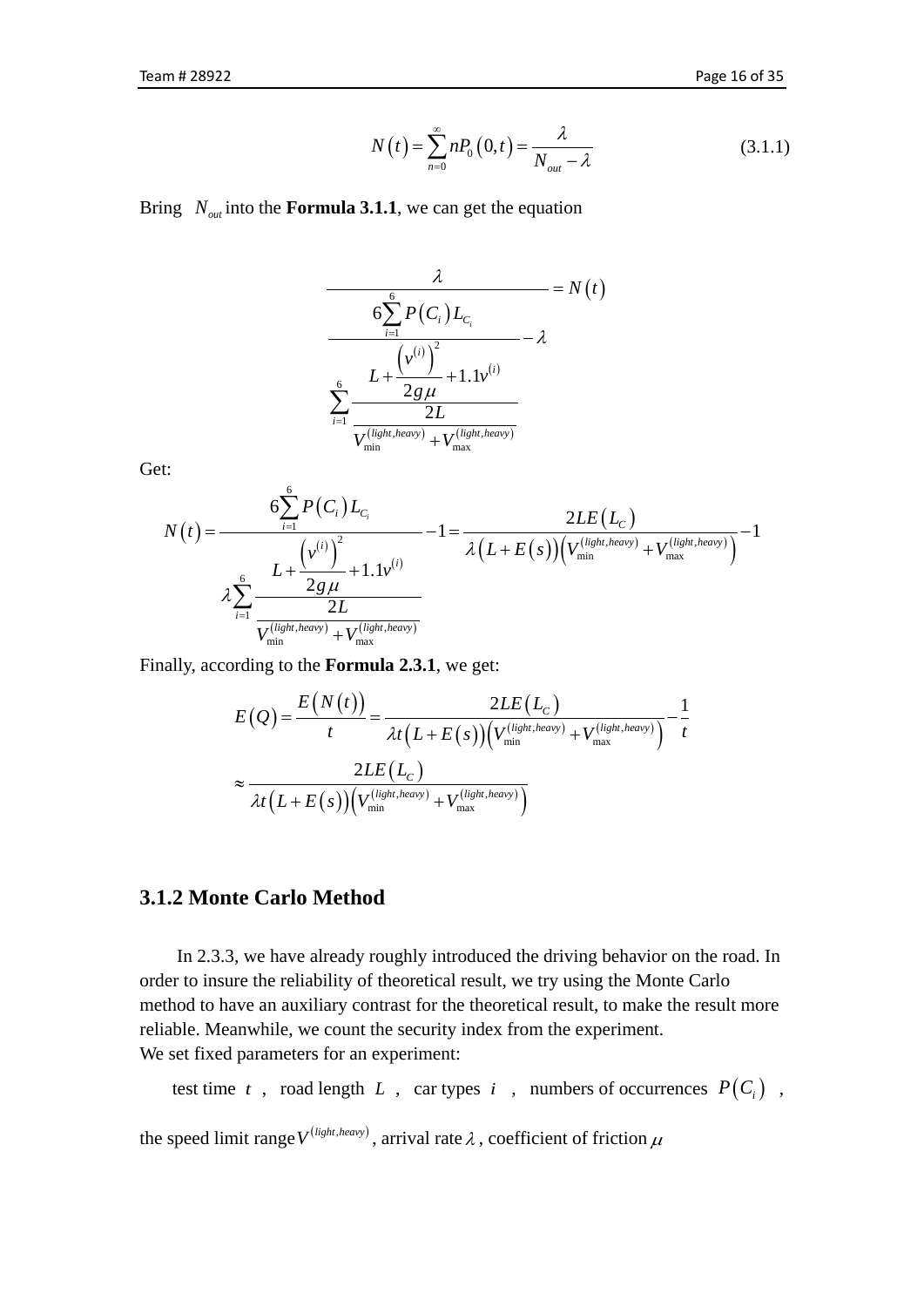$$
N(t) = \sum_{n=0}^{\infty} n P_0(0, t) = \frac{\lambda}{N_{out} - \lambda}
$$
 (3.1.1)

Bring  $N_{out}$  into the **Formula 3.1.1**, we can get the equation

$$
\frac{\lambda}{6\sum_{i=1}^{6}P(C_i)L_{C_i}} = N(t)
$$
\n
$$
\frac{6\sum_{i=1}^{6}L + \frac{(\nu^{(i)})^2}{2g\mu} + 1.1\nu^{(i)}}{\sum_{i=1}^{6}\frac{2L}{V_{\min}^{(light, heavy)} + V_{\max}^{(light, heavy)}}
$$

Get:

$$
N(t) = \frac{6 \sum_{i=1}^{6} P(C_i) L_{C_i}}{\lambda \sum_{i=1}^{6} \frac{L + \frac{(v^{(i)})^2}{2g\mu} + 1.1v^{(i)}}{\lambda (L + E(s)) (V_{\min}^{(light, heavy)} + V_{\max}^{(light, heavy)})}} - 1
$$
  

$$
\lambda \sum_{i=1}^{6} \frac{L + \frac{(v^{(i)})^2}{2g\mu} + 1.1v^{(i)}}{\frac{2L}{V_{\min}^{(light, heavy)} + V_{\max}^{(light, heavy)}}}
$$

Finally, according to the **Formula 2.3.1**, we get:

$$
E(Q) = \frac{E(N(t))}{t} = \frac{2LE(L_C)}{\lambda t (L + E(s)) (V_{\min}^{(light, heavy)} + V_{\max}^{(light, heavy)})} - \frac{1}{t}
$$

$$
\approx \frac{2LE(L_C)}{\lambda t (L + E(s)) (V_{\min}^{(light, heavy)} + V_{\max}^{(light, heavy)})}
$$

### **3.1.2 Monte Carlo Method**

In 2.3.3, we have already roughly introduced the driving behavior on the road. In order to insure the reliability of theoretical result, we try using the Monte Carlo method to have an auxiliary contrast for the theoretical result, to make the result more reliable. Meanwhile, we count the security index from the experiment. We set fixed parameters for an experiment:

```
test time t, road length L, car types i, numbers of occurrences P(C_i),
```
the speed limit range  $V^{(light, heavy)}$ , arrival rate  $\lambda$ , coefficient of friction  $\mu$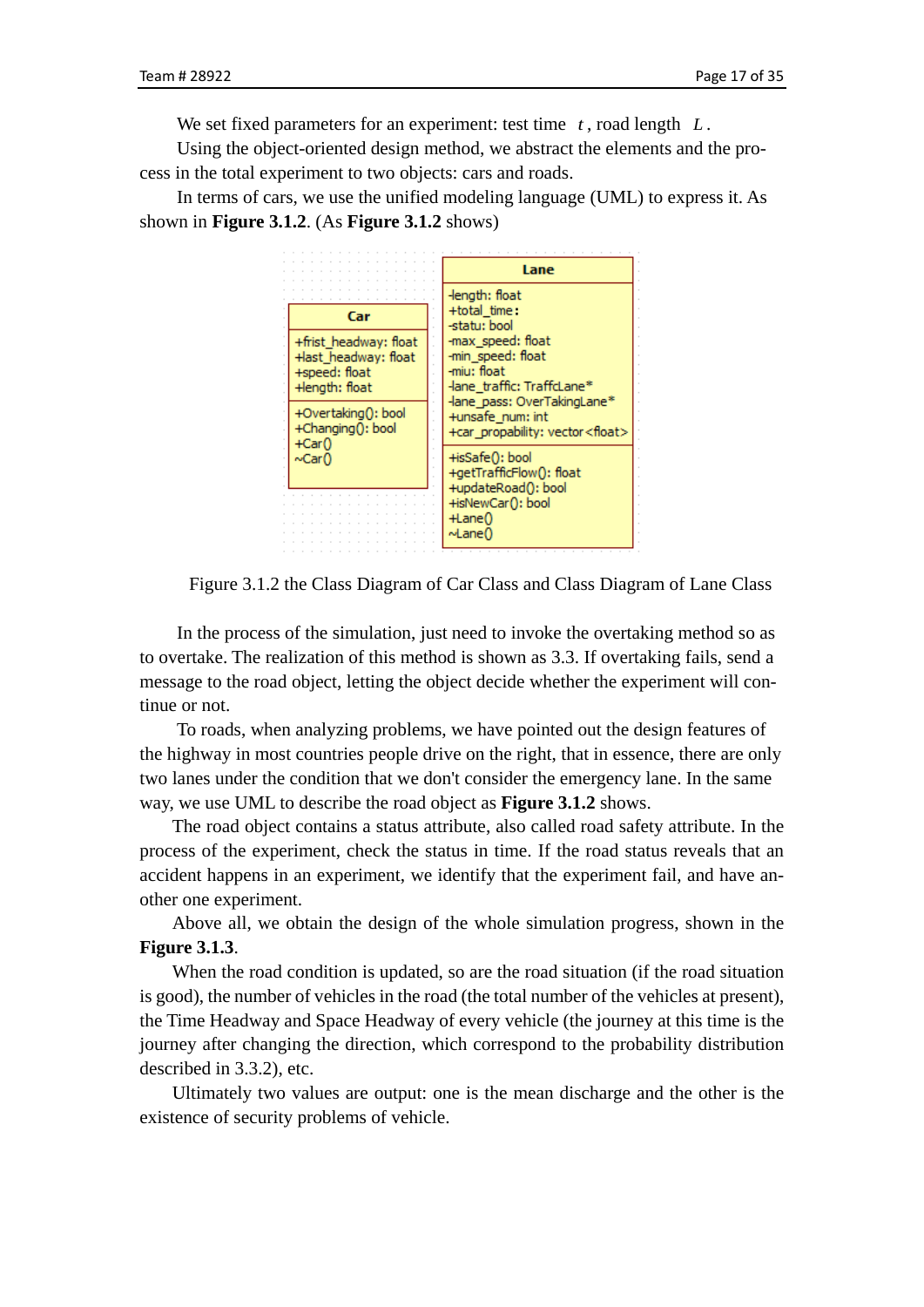We set fixed parameters for an experiment: test time *t* , road length *L* .

Using the object-oriented design method, we abstract the elements and the process in the total experiment to two objects: cars and roads.

In terms of cars, we use the unified modeling language (UML) to express it. As shown in **Figure 3.1.2**. (As **Figure 3.1.2** shows)



Figure 3.1.2 the Class Diagram of Car Class and Class Diagram of Lane Class

In the process of the simulation, just need to invoke the overtaking method so as to overtake. The realization of this method is shown as 3.3. If overtaking fails, send a message to the road object, letting the object decide whether the experiment will continue or not.

To roads, when analyzing problems, we have pointed out the design features of the highway in most countries people drive on the right, that in essence, there are only two lanes under the condition that we don't consider the emergency lane. In the same way, we use UML to describe the road object as **Figure 3.1.2** shows.

The road object contains a status attribute, also called road safety attribute. In the process of the experiment, check the status in time. If the road status reveals that an accident happens in an experiment, we identify that the experiment fail, and have another one experiment.

Above all, we obtain the design of the whole simulation progress, shown in the **Figure 3.1.3**.

When the road condition is updated, so are the road situation (if the road situation is good), the number of vehicles in the road (the total number of the vehicles at present), the Time Headway and Space Headway of every vehicle (the journey at this time is the journey after changing the direction, which correspond to the probability distribution described in 3.3.2), etc.

Ultimately two values are output: one is the mean discharge and the other is the existence of security problems of vehicle.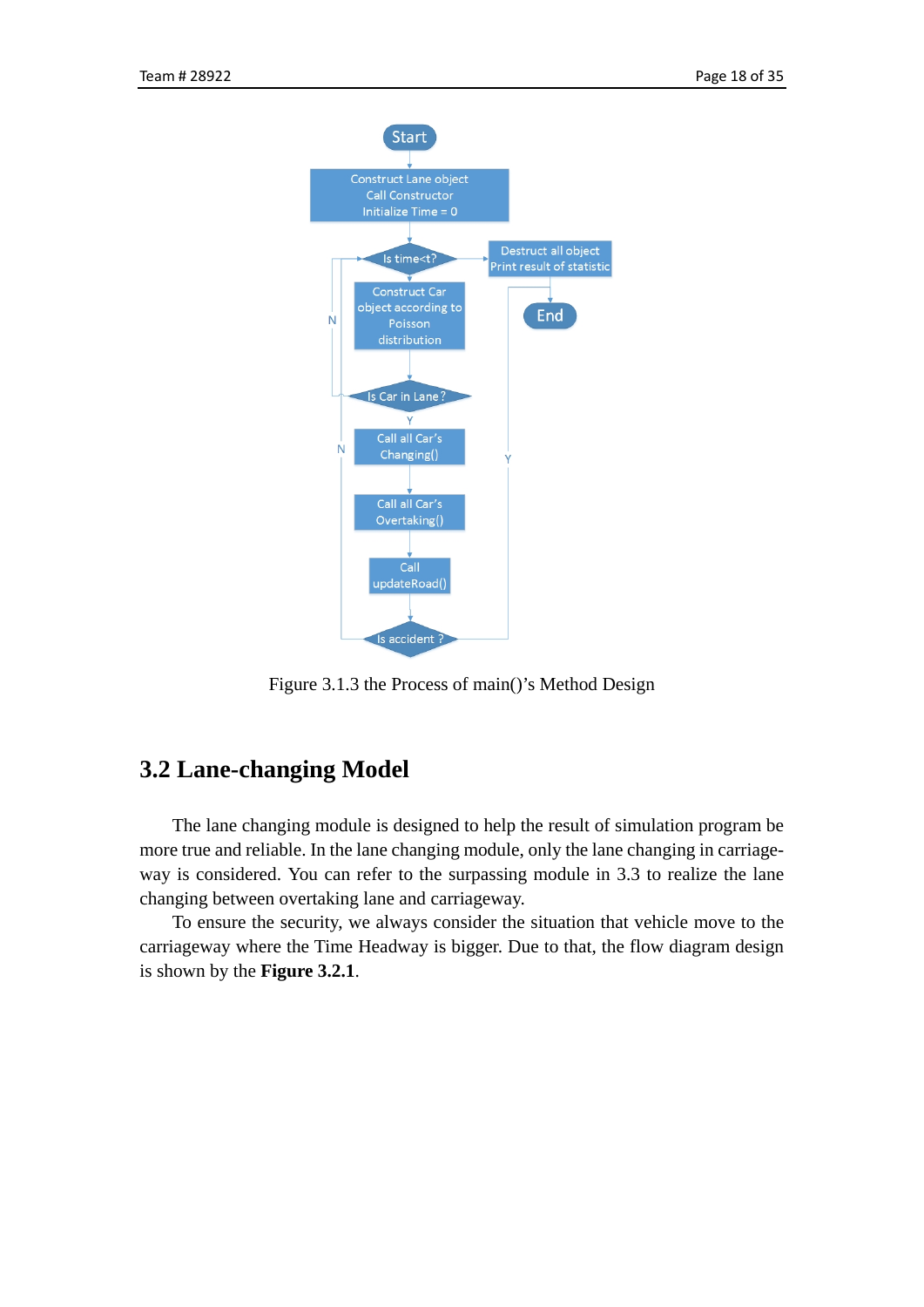

Figure 3.1.3 the Process of main()'s Method Design

## <span id="page-17-0"></span>**3.2 Lane-changing Model**

The lane changing module is designed to help the result of simulation program be more true and reliable. In the lane changing module, only the lane changing in carriageway is considered. You can refer to the surpassing module in 3.3 to realize the lane changing between overtaking lane and carriageway.

To ensure the security, we always consider the situation that vehicle move to the carriageway where the Time Headway is bigger. Due to that, the flow diagram design is shown by the **Figure 3.2.1**.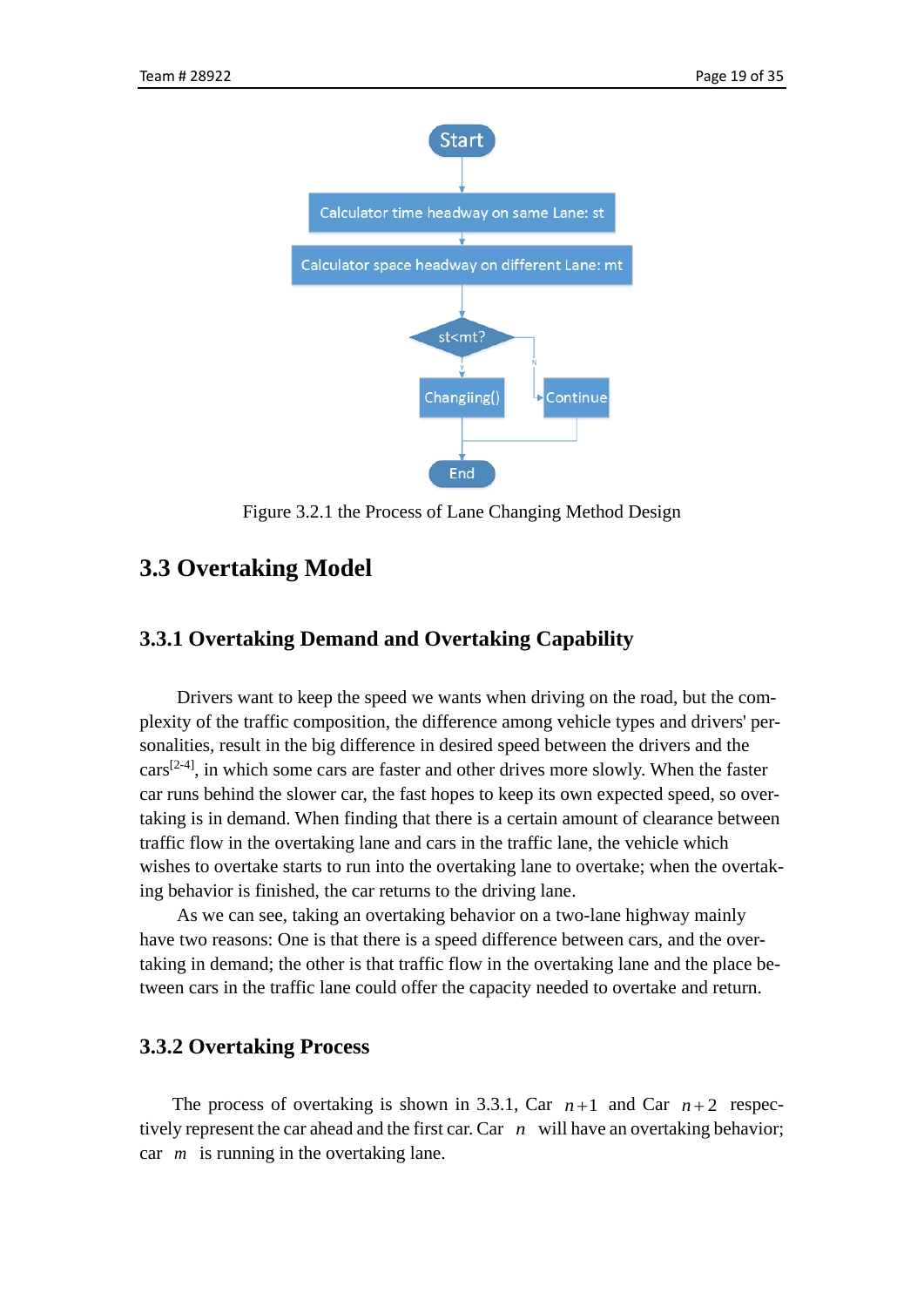

Figure 3.2.1 the Process of Lane Changing Method Design

## <span id="page-18-0"></span>**3.3 Overtaking Model**

### **3.3.1 Overtaking Demand and Overtaking Capability**

Drivers want to keep the speed we wants when driving on the road, but the complexity of the traffic composition, the difference among vehicle types and drivers' personalities, result in the big difference in desired speed between the drivers and the  $cars<sup>[2-4]</sup>$ , in which some cars are faster and other drives more slowly. When the faster car runs behind the slower car, the fast hopes to keep its own expected speed, so overtaking is in demand. When finding that there is a certain amount of clearance between traffic flow in the overtaking lane and cars in the traffic lane, the vehicle which wishes to overtake starts to run into the overtaking lane to overtake; when the overtaking behavior is finished, the car returns to the driving lane.

As we can see, taking an overtaking behavior on a two-lane highway mainly have two reasons: One is that there is a speed difference between cars, and the overtaking in demand; the other is that traffic flow in the overtaking lane and the place between cars in the traffic lane could offer the capacity needed to overtake and return.

## **3.3.2 Overtaking Process**

The process of overtaking is shown in 3.3.1, Car  $n+1$  and Car  $n+2$  respectively represent the car ahead and the first car. Car *n* will have an overtaking behavior; car *m* is running in the overtaking lane.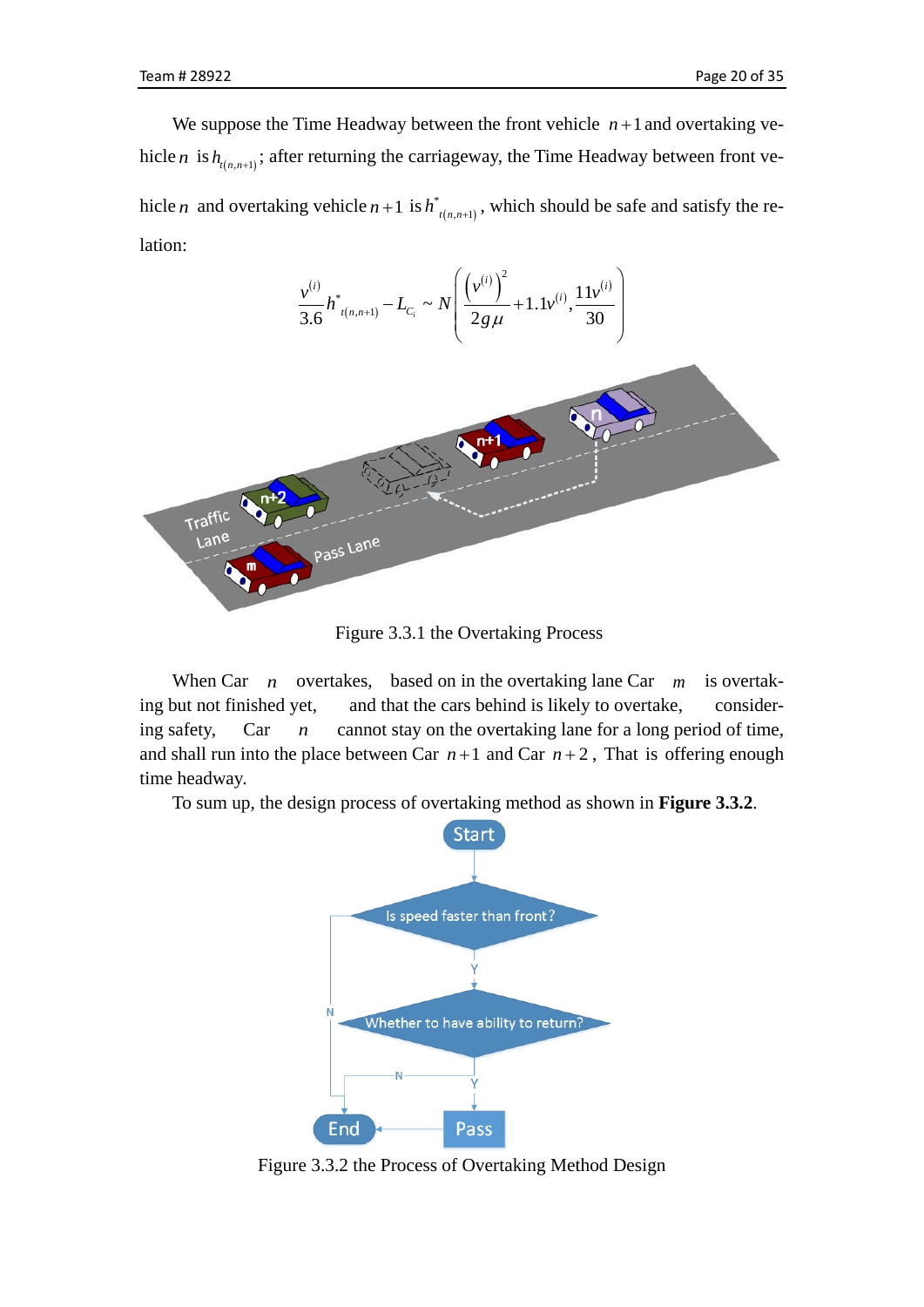We suppose the Time Headway between the front vehicle  $n+1$  and overtaking vehicle *n* is  $h_{(n,n+1)}$ ; after returning the carriageway, the Time Headway between front vehicle *n* and overtaking vehicle  $n+1$  is  $h^{*}_{t(n,n+1)}$ , which should be safe and satisfy the relation:



Figure 3.3.1 the Overtaking Process

When Car *n* overtakes, based on in the overtaking lane Car *m* is overtaking but not finished yet, and that the cars behind is likely to overtake, considering safety, Car *n* cannot stay on the overtaking lane for a long period of time, and shall run into the place between Car  $n+1$  and Car  $n+2$ , That is offering enough time headway.

To sum up, the design process of overtaking method as shown in **Figure 3.3.2**.



Figure 3.3.2 the Process of Overtaking Method Design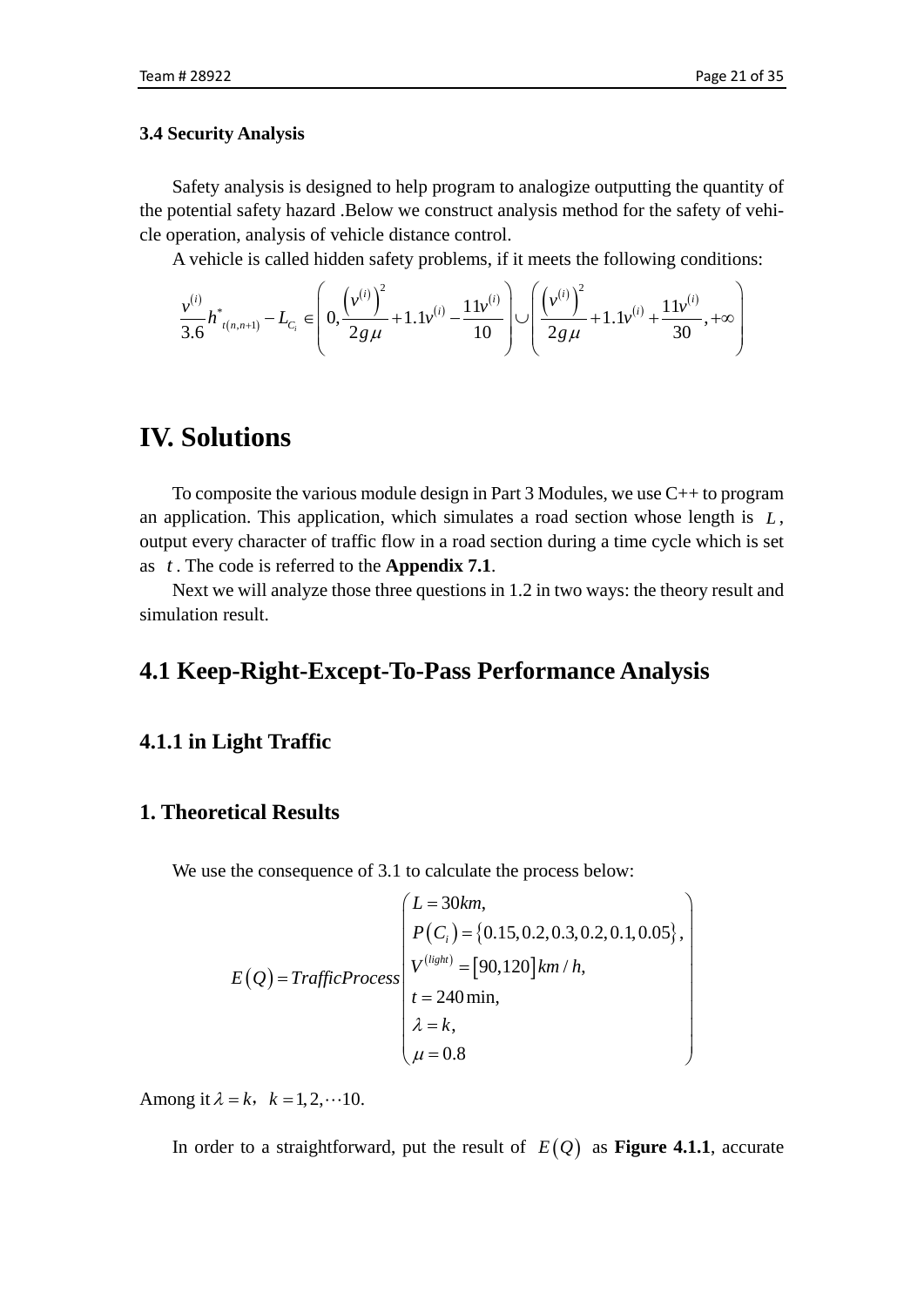#### <span id="page-20-0"></span>**3.4 Security Analysis**

Safety analysis is designed to help program to analogize outputting the quantity of the potential safety hazard .Below we construct analysis method for the safety of vehicle operation, analysis of vehicle distance control.

A vehicle is called hidden safety problems, if it meets the following conditions:

$$
\frac{v^{(i)}}{3.6}h_{t(n,n+1)}^{*}-L_{C_{i}}\in\left(0,\frac{\left(v^{(i)}\right)^{2}}{2g\mu}+1.1v^{(i)}-\frac{11v^{(i)}}{10}\right)\cup\left(\frac{\left(v^{(i)}\right)^{2}}{2g\mu}+1.1v^{(i)}+\frac{11v^{(i)}}{30},+\infty\right)
$$

# <span id="page-20-1"></span>**IV. Solutions**

To composite the various module design in Part 3 Modules, we use C++ to program an application. This application, which simulates a road section whose length is *L* , output every character of traffic flow in a road section during a time cycle which is set as *t* . The code is referred to the **Appendix 7.1**.

Next we will analyze those three questions in 1.2 in two ways: the theory result and simulation result.

## <span id="page-20-2"></span>**4.1 Keep-Right-Except-To-Pass Performance Analysis**

### **4.1.1 in Light Traffic**

## **1. Theoretical Results**

We use the consequence of 3.1 to calculate the process below:

$$
E(Q) = TrafficProcess\begin{pmatrix}L = 30km, \\ P(C_i) = \{0.15, 0.2, 0.3, 0.2, 0.1, 0.05\}, \\ V^{(light)} = [90, 120]km/h, \\ t = 240\,\text{min}, \\ \lambda = k, \\ \mu = 0.8\end{pmatrix}
$$

Among it  $\lambda = k$ ,  $k = 1, 2, \dots 10$ .

In order to a straightforward, put the result of  $E(Q)$  as **Figure 4.1.1**, accurate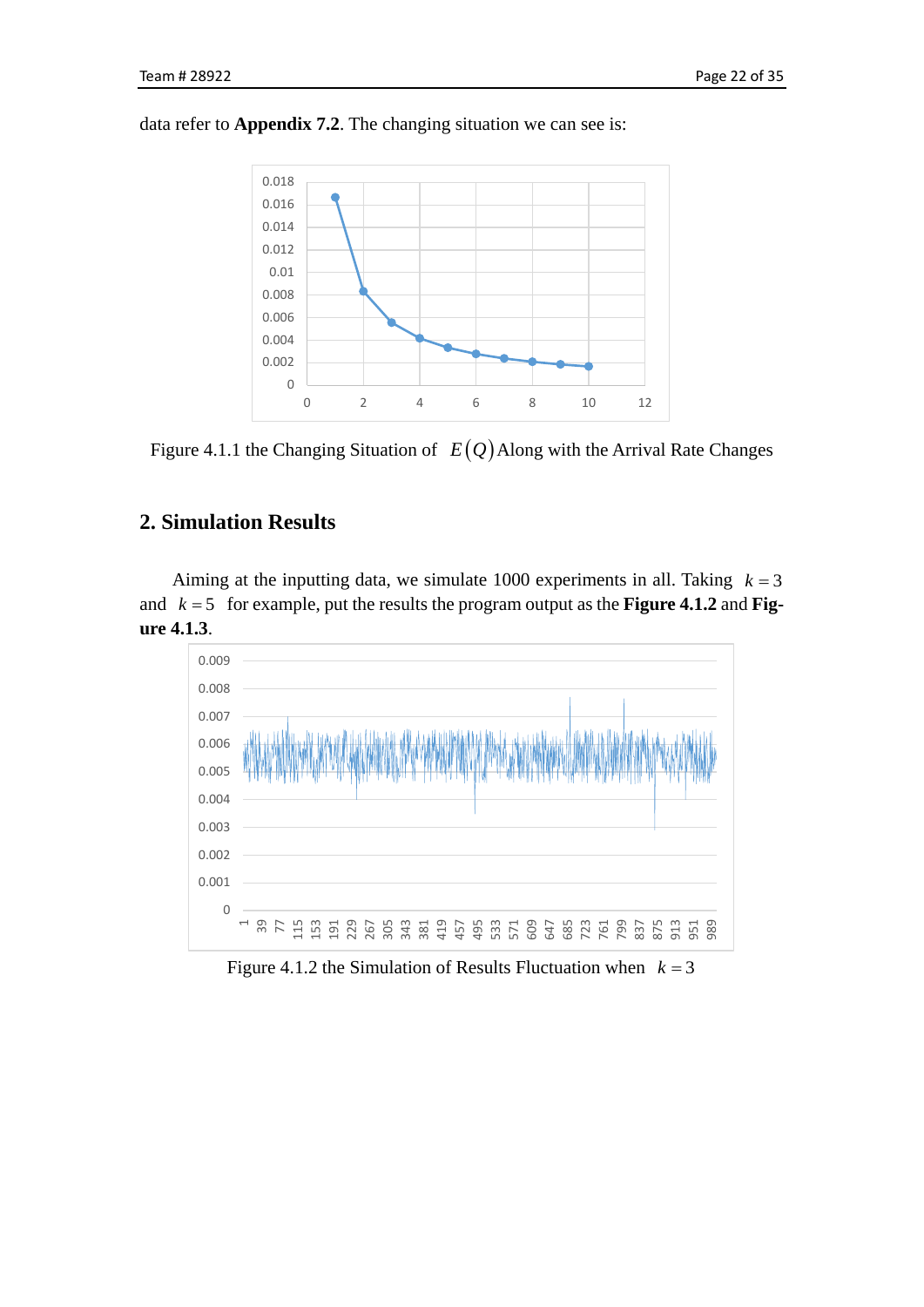data refer to **Appendix 7.2**. The changing situation we can see is:



Figure 4.1.1 the Changing Situation of  $E(Q)$  Along with the Arrival Rate Changes

## **2. Simulation Results**

Aiming at the inputting data, we simulate 1000 experiments in all. Taking  $k = 3$ and  $k = 5$  for example, put the results the program output as the **Figure 4.1.2** and **Figure 4.1.3**.



Figure 4.1.2 the Simulation of Results Fluctuation when  $k = 3$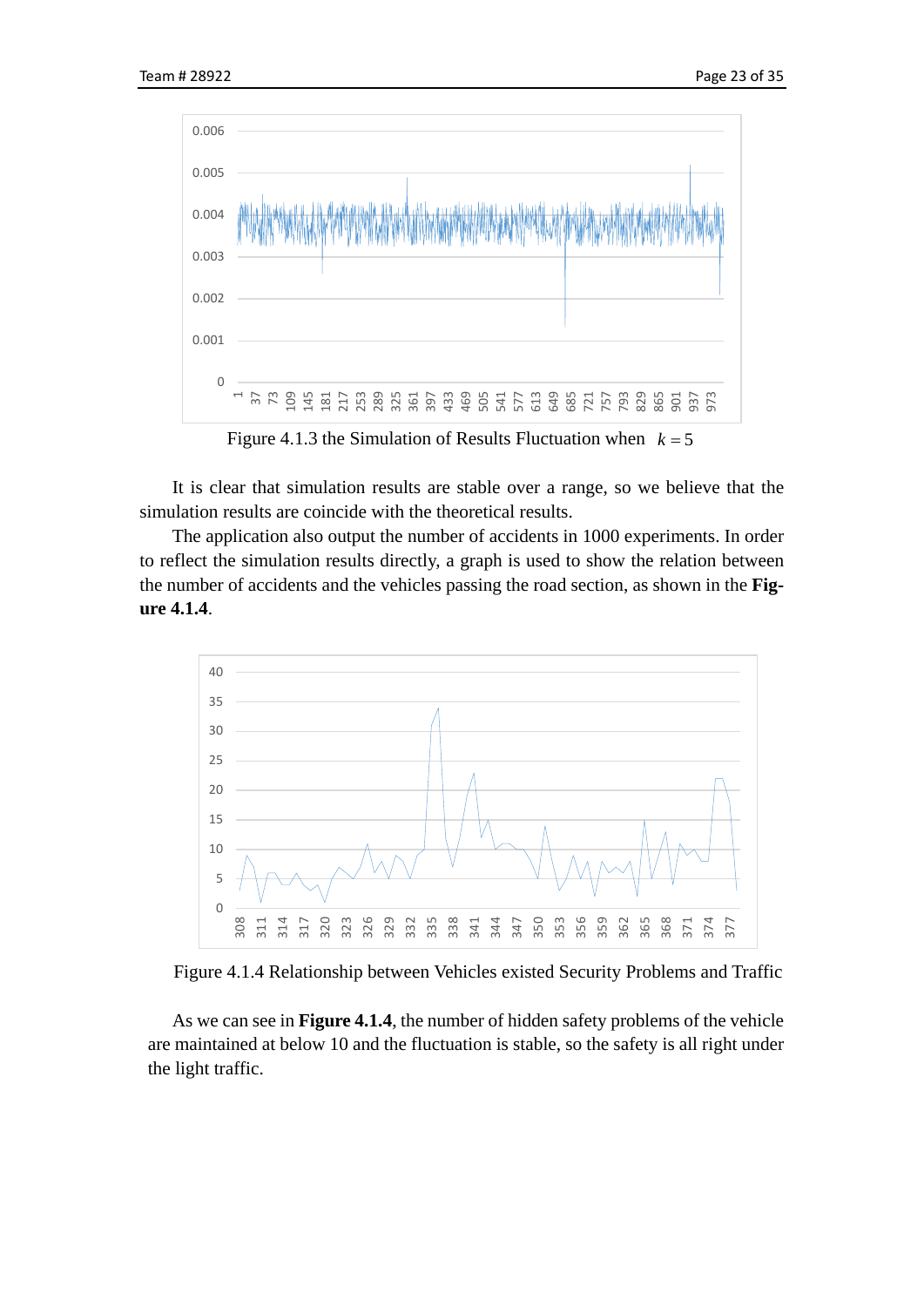

Figure 4.1.3 the Simulation of Results Fluctuation when  $k = 5$ 

It is clear that simulation results are stable over a range, so we believe that the simulation results are coincide with the theoretical results.

The application also output the number of accidents in 1000 experiments. In order to reflect the simulation results directly, a graph is used to show the relation between the number of accidents and the vehicles passing the road section, as shown in the **Figure 4.1.4**.



Figure 4.1.4 Relationship between Vehicles existed Security Problems and Traffic

As we can see in **Figure 4.1.4**, the number of hidden safety problems of the vehicle are maintained at below 10 and the fluctuation is stable, so the safety is all right under the light traffic.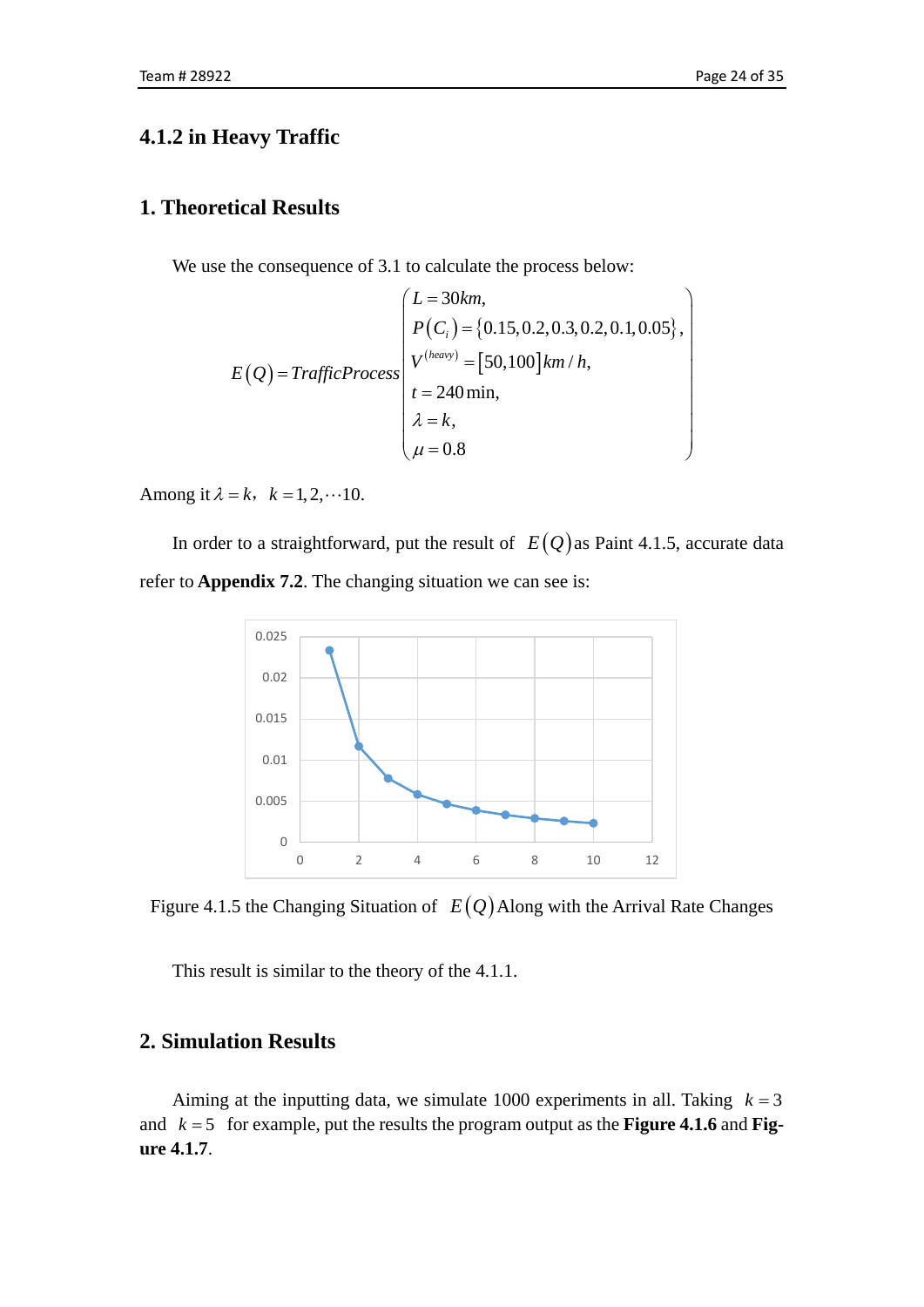## **4.1.2 in Heavy Traffic**

### **1. Theoretical Results**

We use the consequence of 3.1 to calculate the process below:

$$
E(Q) = TrafficProcess\begin{pmatrix}L = 30km, \\ P(C_i) = \{0.15, 0.2, 0.3, 0.2, 0.1, 0.05\}, \\ V^{(heavy)} = [50, 100]km/h, \\ t = 240\min, \\ \lambda = k, \\ \mu = 0.8\end{pmatrix}
$$

Among it  $\lambda = k$ ,  $k = 1, 2, \dots 10$ .

In order to a straightforward, put the result of  $E(Q)$  as Paint 4.1.5, accurate data refer to **Appendix 7.2**. The changing situation we can see is:



Figure 4.1.5 the Changing Situation of  $E(Q)$  Along with the Arrival Rate Changes

This result is similar to the theory of the 4.1.1.

### **2. Simulation Results**

Aiming at the inputting data, we simulate 1000 experiments in all. Taking  $k = 3$ and  $k = 5$  for example, put the results the program output as the **Figure 4.1.6** and **Figure 4.1.7**.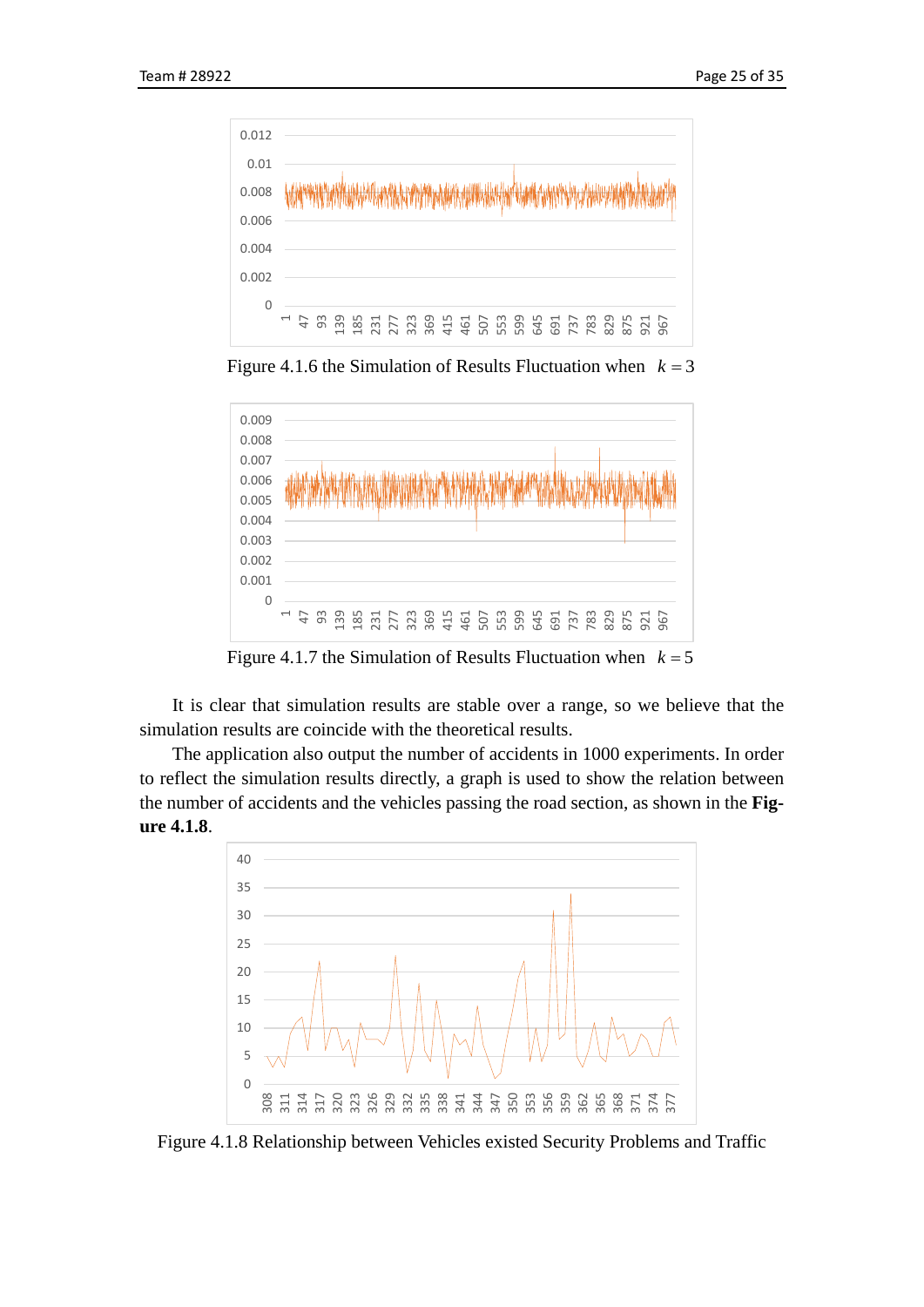

Figure 4.1.6 the Simulation of Results Fluctuation when  $k = 3$ 



Figure 4.1.7 the Simulation of Results Fluctuation when  $k = 5$ 

It is clear that simulation results are stable over a range, so we believe that the simulation results are coincide with the theoretical results.

The application also output the number of accidents in 1000 experiments. In order to reflect the simulation results directly, a graph is used to show the relation between the number of accidents and the vehicles passing the road section, as shown in the **Figure 4.1.8**.



Figure 4.1.8 Relationship between Vehicles existed Security Problems and Traffic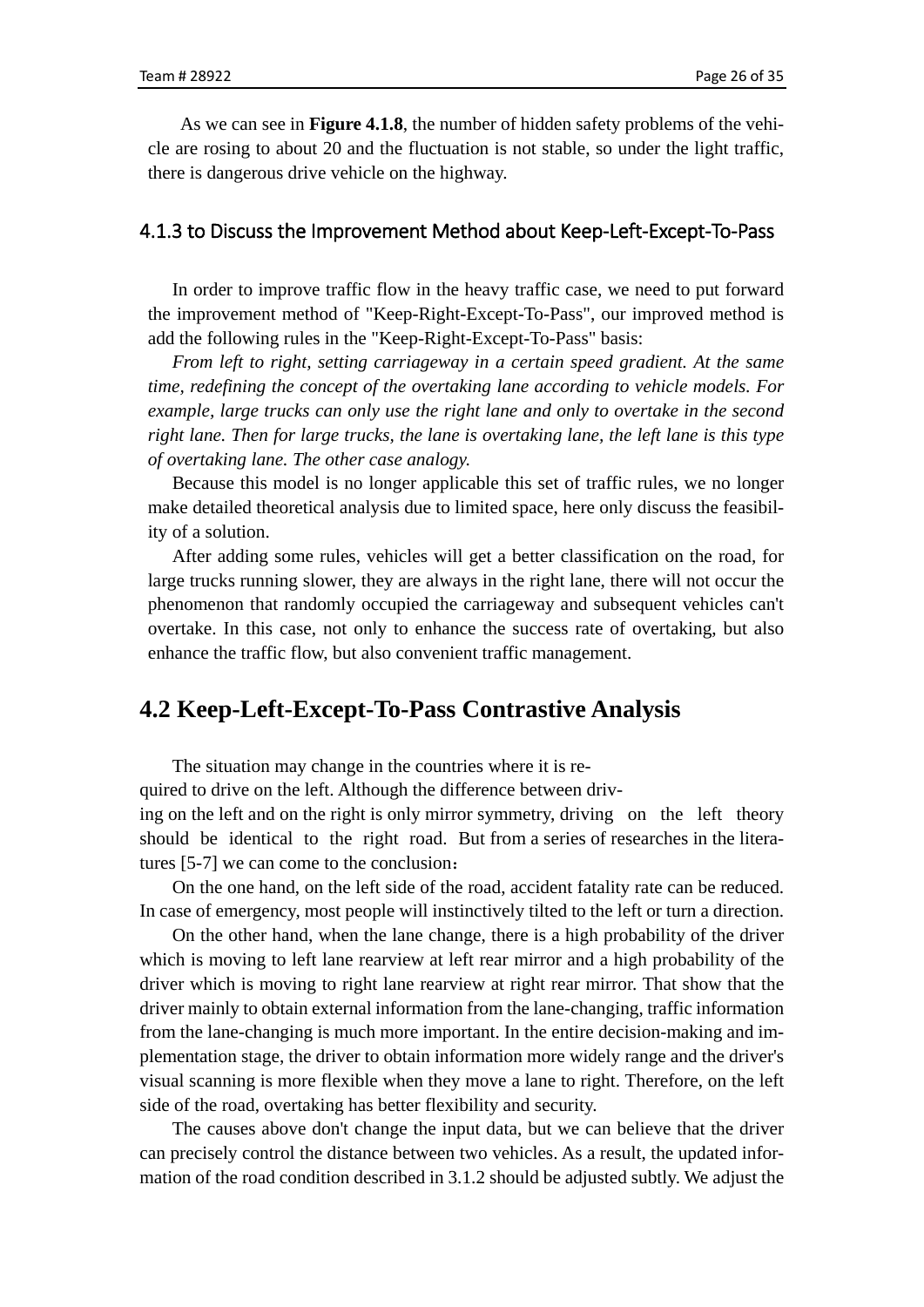As we can see in **Figure 4.1.8**, the number of hidden safety problems of the vehicle are rosing to about 20 and the fluctuation is not stable, so under the light traffic, there is dangerous drive vehicle on the highway.

#### 4.1.3 to Discuss the Improvement Method about Keep-Left-Except-To-Pass

In order to improve traffic flow in the heavy traffic case, we need to put forward the improvement method of "Keep-Right-Except-To-Pass", our improved method is add the following rules in the "Keep-Right-Except-To-Pass" basis:

*From left to right, setting carriageway in a certain speed gradient. At the same time, redefining the concept of the overtaking lane according to vehicle models. For example, large trucks can only use the right lane and only to overtake in the second right lane. Then for large trucks, the lane is overtaking lane, the left lane is this type of overtaking lane. The other case analogy.*

Because this model is no longer applicable this set of traffic rules, we no longer make detailed theoretical analysis due to limited space, here only discuss the feasibility of a solution.

After adding some rules, vehicles will get a better classification on the road, for large trucks running slower, they are always in the right lane, there will not occur the phenomenon that randomly occupied the carriageway and subsequent vehicles can't overtake. In this case, not only to enhance the success rate of overtaking, but also enhance the traffic flow, but also convenient traffic management.

## <span id="page-25-0"></span>**4.2 Keep-Left-Except-To-Pass Contrastive Analysis**

The situation may change in the countries where it is re-

quired to drive on the left. Although the difference between driv-

ing on the left and on the right is only mirror symmetry, driving on the left theory should be identical to the right road. But from a series of researches in the literatures [5-7] we can come to the conclusion:

On the one hand, on the left side of the road, accident fatality rate can be reduced. In case of emergency, most people will instinctively tilted to the left or turn a direction.

On the other hand, when the lane change, there is a high probability of the driver which is moving to left lane rearview at left rear mirror and a high probability of the driver which is moving to right lane rearview at right rear mirror. That show that the driver mainly to obtain external information from the lane-changing, traffic information from the lane-changing is much more important. In the entire decision-making and implementation stage, the driver to obtain information more widely range and the driver's visual scanning is more flexible when they move a lane to right. Therefore, on the left side of the road, overtaking has better flexibility and security.

The causes above don't change the input data, but we can believe that the driver can precisely control the distance between two vehicles. As a result, the updated information of the road condition described in 3.1.2 should be adjusted subtly. We adjust the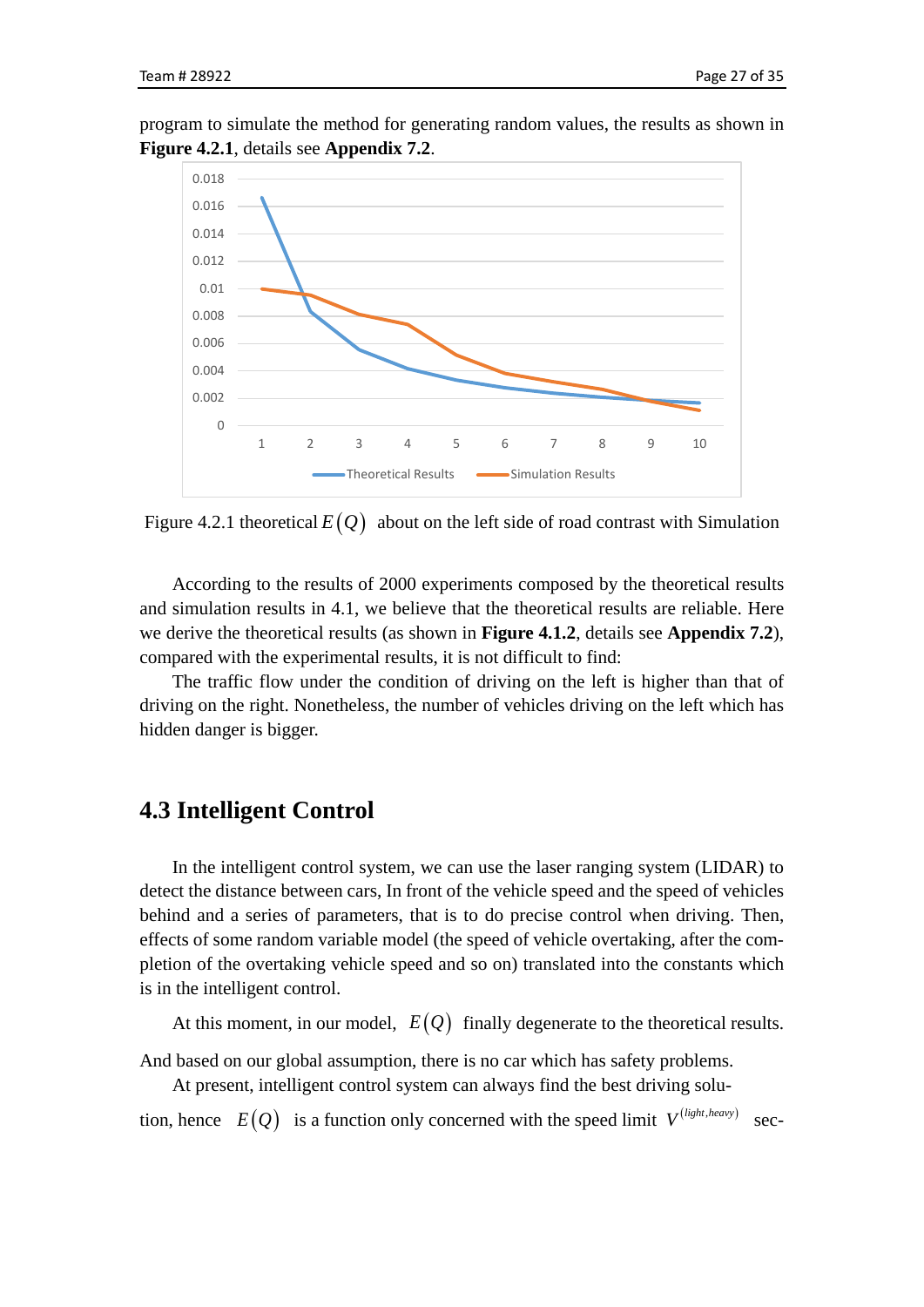program to simulate the method for generating random values, the results as shown in **Figure 4.2.1**, details see **Appendix 7.2**.



Figure 4.2.1 theoretical  $E(Q)$  about on the left side of road contrast with Simulation

According to the results of 2000 experiments composed by the theoretical results and simulation results in 4.1, we believe that the theoretical results are reliable. Here we derive the theoretical results (as shown in **Figure 4.1.2**, details see **Appendix 7.2**), compared with the experimental results, it is not difficult to find:

The traffic flow under the condition of driving on the left is higher than that of driving on the right. Nonetheless, the number of vehicles driving on the left which has hidden danger is bigger.

## <span id="page-26-0"></span>**4.3 Intelligent Control**

In the intelligent control system, we can use the laser ranging system (LIDAR) to detect the distance between cars, In front of the vehicle speed and the speed of vehicles behind and a series of parameters, that is to do precise control when driving. Then, effects of some random variable model (the speed of vehicle overtaking, after the completion of the overtaking vehicle speed and so on) translated into the constants which is in the intelligent control.

At this moment, in our model,  $E(Q)$  finally degenerate to the theoretical results.

And based on our global assumption, there is no car which has safety problems.

At present, intelligent control system can always find the best driving solu-

tion, hence  $E(Q)$  is a function only concerned with the speed limit  $V^{(light, heavy)}$  sec-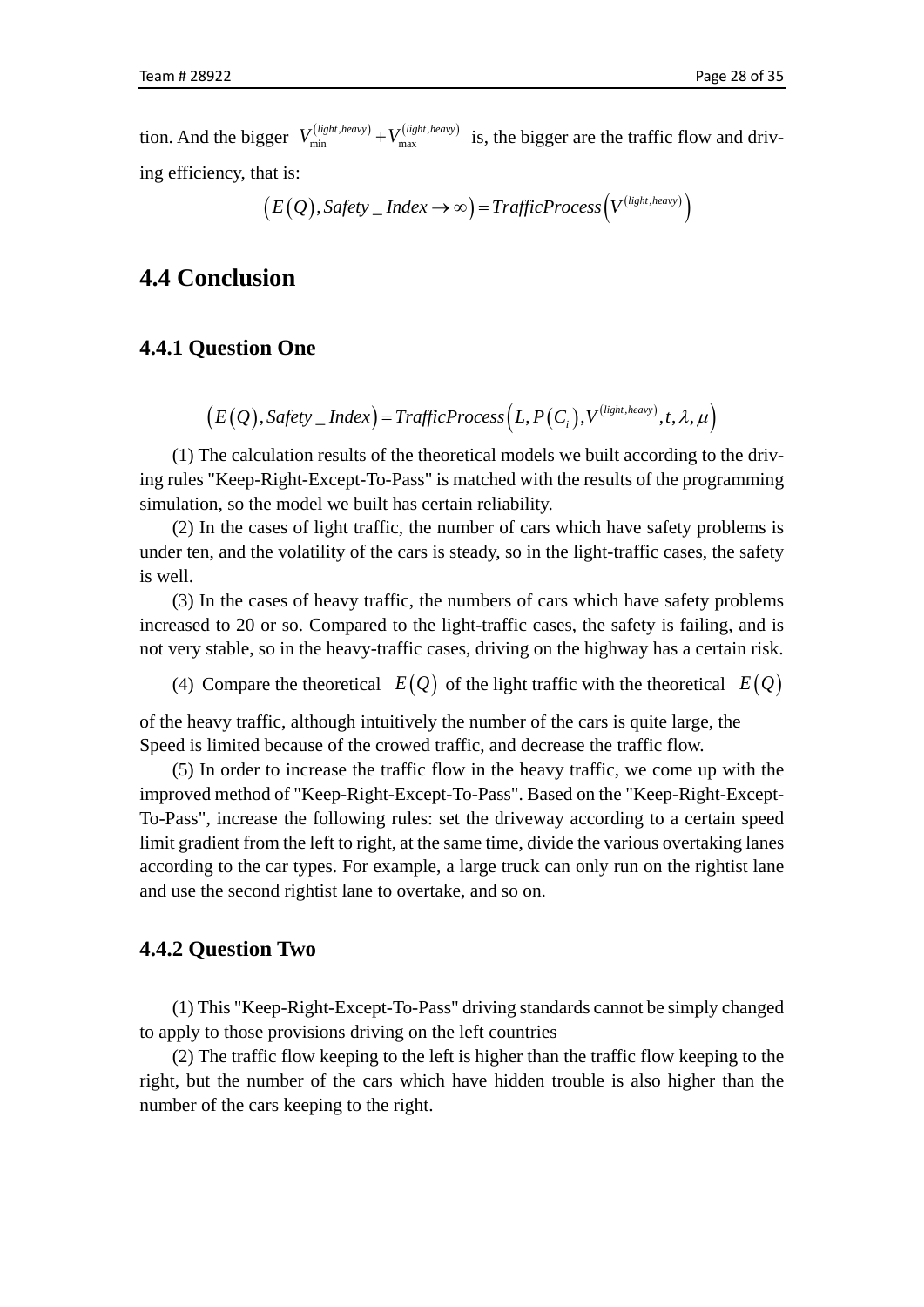tion. And the bigger  $V_{\text{min}}^{(light, heavy)} + V_{\text{max}}^{(light, heavy)}$  is, the bigger are the traffic flow and driving efficiency, that is:

$$
(E(Q), Safety\_Index \rightarrow \infty) = TrafficProcess(V^{(light, heavy)})
$$

## <span id="page-27-0"></span>**4.4 Conclusion**

### **4.4.1 Question One**

$$
(E(Q),\mathit{Safety\_Index}) = \mathit{TrafficProcess}\left(L,P(C_i),V^{(light,heavy)},t,\lambda,\mu\right)
$$

(1) The calculation results of the theoretical models we built according to the driving rules "Keep-Right-Except-To-Pass" is matched with the results of the programming simulation, so the model we built has certain reliability.

(2) In the cases of light traffic, the number of cars which have safety problems is under ten, and the volatility of the cars is steady, so in the light-traffic cases, the safety is well.

(3) In the cases of heavy traffic, the numbers of cars which have safety problems increased to 20 or so. Compared to the light-traffic cases, the safety is failing, and is not very stable, so in the heavy-traffic cases, driving on the highway has a certain risk.

(4) Compare the theoretical  $E(Q)$  of the light traffic with the theoretical  $E(Q)$ 

of the heavy traffic, although intuitively the number of the cars is quite large, the Speed is limited because of the crowed traffic, and decrease the traffic flow.

(5) In order to increase the traffic flow in the heavy traffic, we come up with the improved method of "Keep-Right-Except-To-Pass". Based on the "Keep-Right-Except-To-Pass", increase the following rules: set the driveway according to a certain speed limit gradient from the left to right, at the same time, divide the various overtaking lanes according to the car types. For example, a large truck can only run on the rightist lane and use the second rightist lane to overtake, and so on.

### **4.4.2 Question Two**

(1) This "Keep-Right-Except-To-Pass" driving standards cannot be simply changed to apply to those provisions driving on the left countries

(2) The traffic flow keeping to the left is higher than the traffic flow keeping to the right, but the number of the cars which have hidden trouble is also higher than the number of the cars keeping to the right.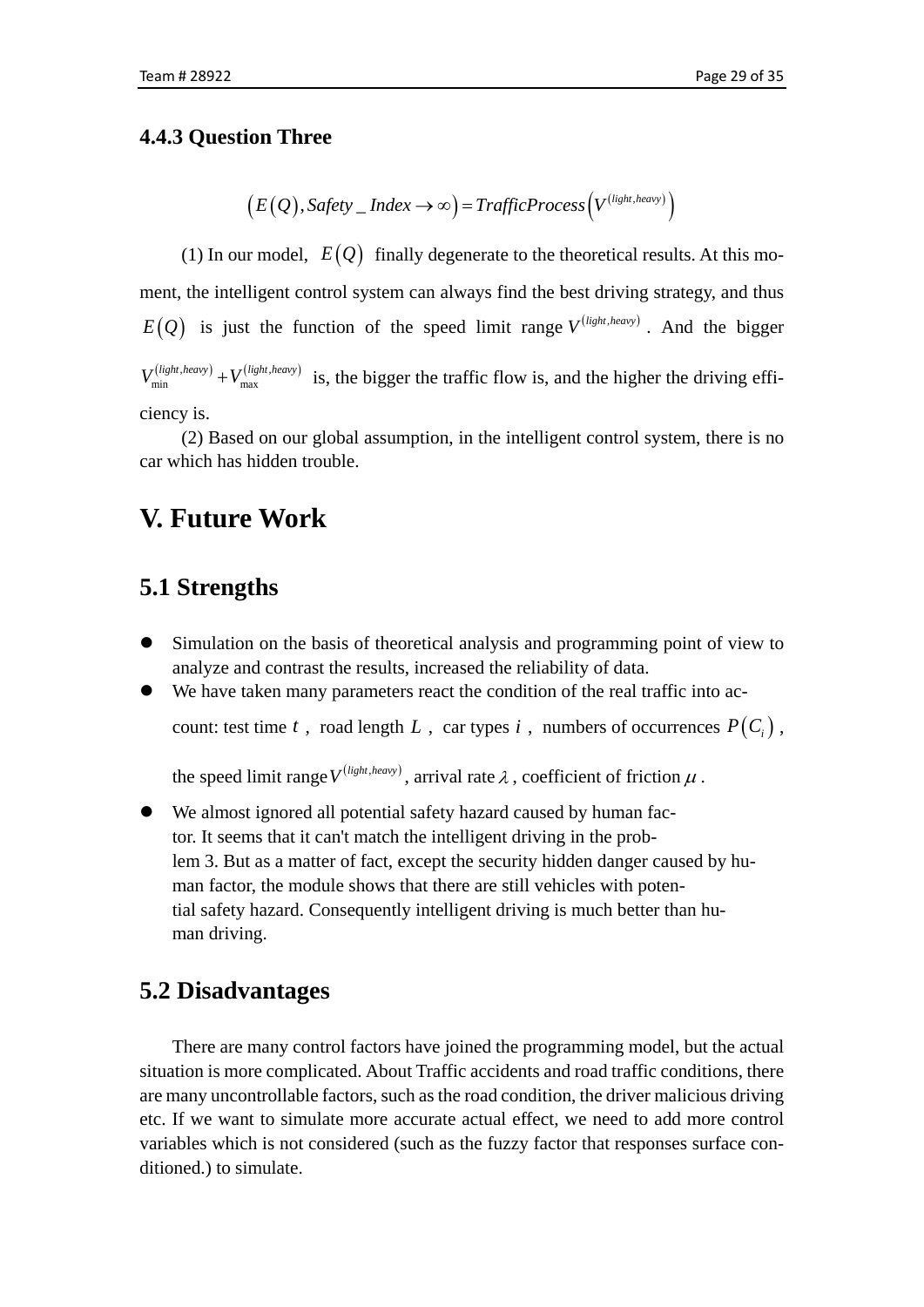### **4.4.3 Question Three**

$$
(E(Q), Safety\_Index \rightarrow \infty) = TrafficProcess(V^{(light, heavy)})
$$

(1) In our model,  $E(Q)$  finally degenerate to the theoretical results. At this moment, the intelligent control system can always find the best driving strategy, and thus  $E(Q)$  is just the function of the speed limit range  $V^{(light, heavy)}$ . And the bigger  $\left($ *light*,*heavy* $\right)$   $\left($   $\mathbf{I}$ *z* $\left($ *light*,*heavy* $\right)$  $V_{\min}^{(light, heavy)} + V_{\max}^{(light, heavy)}$  is, the bigger the traffic flow is, and the higher the driving efficiency is.

(2) Based on our global assumption, in the intelligent control system, there is no car which has hidden trouble.

## <span id="page-28-0"></span>**V. Future Work**

## <span id="page-28-1"></span>**5.1 Strengths**

- Simulation on the basis of theoretical analysis and programming point of view to analyze and contrast the results, increased the reliability of data.
- We have taken many parameters react the condition of the real traffic into account: test time *t*, road length *L*, car types *i*, numbers of occurrences  $P(C_i)$ ,

the speed limit range  $V^{(light, heavy)}$ , arrival rate  $\lambda$ , coefficient of friction  $\mu$ .

 We almost ignored all potential safety hazard caused by human factor. It seems that it can't match the intelligent driving in the problem 3. But as a matter of fact, except the security hidden danger caused by human factor, the module shows that there are still vehicles with potential safety hazard. Consequently intelligent driving is much better than human driving.

## <span id="page-28-2"></span>**5.2 Disadvantages**

There are many control factors have joined the programming model, but the actual situation is more complicated. About Traffic accidents and road traffic conditions, there are many uncontrollable factors, such as the road condition, the driver malicious driving etc. If we want to simulate more accurate actual effect, we need to add more control variables which is not considered (such as the fuzzy factor that responses surface conditioned.) to simulate.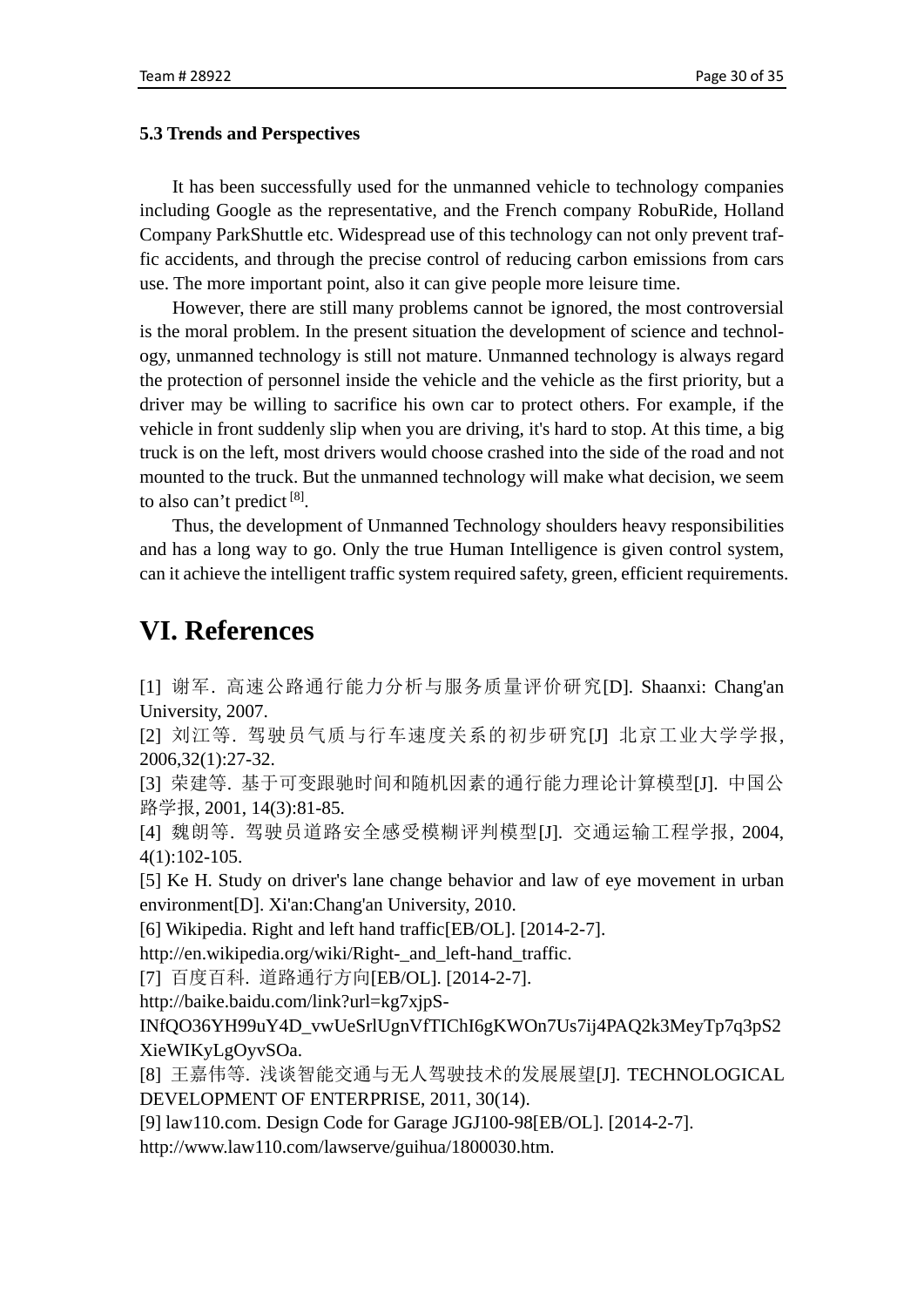#### <span id="page-29-0"></span>**5.3 Trends and Perspectives**

It has been successfully used for the unmanned vehicle to technology companies including Google as the representative, and the French company RobuRide, Holland Company ParkShuttle etc. Widespread use of this technology can not only prevent traffic accidents, and through the precise control of reducing carbon emissions from cars use. The more important point, also it can give people more leisure time.

However, there are still many problems cannot be ignored, the most controversial is the moral problem. In the present situation the development of science and technology, unmanned technology is still not mature. Unmanned technology is always regard the protection of personnel inside the vehicle and the vehicle as the first priority, but a driver may be willing to sacrifice his own car to protect others. For example, if the vehicle in front suddenly slip when you are driving, it's hard to stop. At this time, a big truck is on the left, most drivers would choose crashed into the side of the road and not mounted to the truck. But the unmanned technology will make what decision, we seem to also can't predict  $[8]$ .

Thus, the development of Unmanned Technology shoulders heavy responsibilities and has a long way to go. Only the true Human Intelligence is given control system, can it achieve the intelligent traffic system required safety, green, efficient requirements.

## <span id="page-29-1"></span>**VI. References**

[1] 谢军. 高速公路通行能力分析与服务质量评价研究[D]. Shaanxi: Chang'an University, 2007.

[2] 刘江等. 驾驶员气质与行车速度关系的初步研究[J] 北京工业大学学报, 2006,32(1):27-32.

[3] 荣建等. 基于可变跟驰时间和随机因素的通行能力理论计算模型[J]. 中国公 路学报, 2001, 14(3):81-85.

[4] 魏朗等. 驾驶员道路安全感受模糊评判模型[J]. 交通运输工程学报, 2004, 4(1):102-105.

[5] Ke H. Study on driver's lane change behavior and law of eye movement in urban environment[D]. Xi'an:Chang'an University, 2010.

[6] Wikipedia. Right and left hand traffic[EB/OL]. [2014-2-7].

[http://en.wikipedia.org/wiki/Right-\\_and\\_left-hand\\_traffic.](http://en.wikipedia.org/wiki/Right-_and_left-hand_traffic)

[7] 百度百科. 道路通行方向[EB/OL]. [2014-2-7].

[http://baike.baidu.com/link?url=kg7xjpS-](http://baike.baidu.com/link?url=kg7xjpS-INfQO36YH99uY4D_vwUeSrlUgnVfTIChI6gKWOn7Us7ij4PAQ2k3MeyTp7q3pS2XieWIKyLgOyvSOa)

[INfQO36YH99uY4D\\_vwUeSrlUgnVfTIChI6gKWOn7Us7ij4PAQ2k3MeyTp7q3pS2](http://baike.baidu.com/link?url=kg7xjpS-INfQO36YH99uY4D_vwUeSrlUgnVfTIChI6gKWOn7Us7ij4PAQ2k3MeyTp7q3pS2XieWIKyLgOyvSOa) [XieWIKyLgOyvSOa.](http://baike.baidu.com/link?url=kg7xjpS-INfQO36YH99uY4D_vwUeSrlUgnVfTIChI6gKWOn7Us7ij4PAQ2k3MeyTp7q3pS2XieWIKyLgOyvSOa)

[8] 王嘉伟等. 浅谈智能交通与无人驾驶技术的发展展望[J]. TECHNOLOGICAL DEVELOPMENT OF ENTERPRISE, 2011, 30(14).

[9] law110.com. Design Code for Garage JGJ100-98[EB/OL]. [2014-2-7].

<span id="page-29-2"></span>[http://www.law110.com/lawserve/guihua/1800030.htm.](http://www.law110.com/lawserve/guihua/1800030.htm)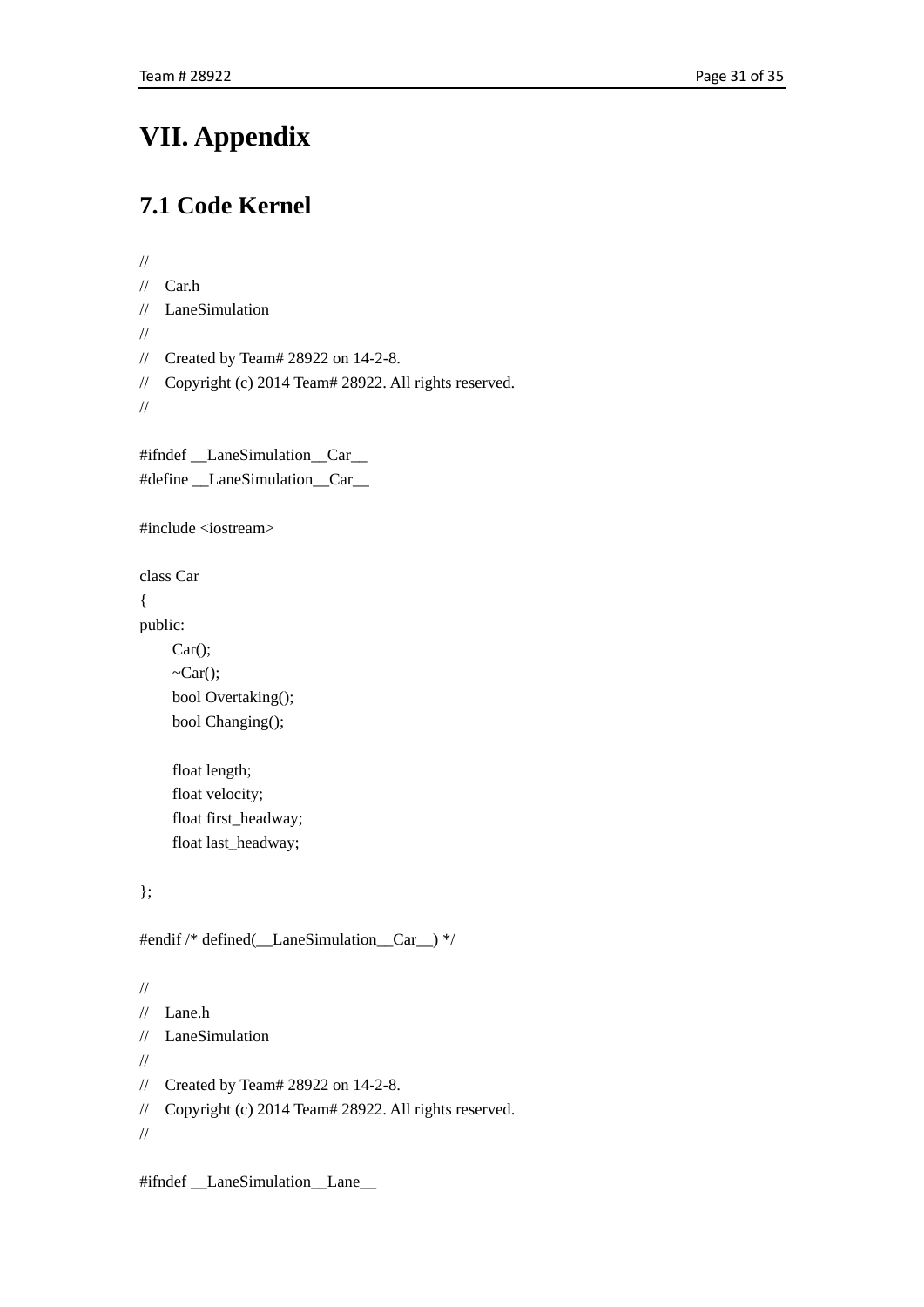# **VII. Appendix**

## <span id="page-30-0"></span>**7.1 Code Kernel**

```
//
// Car.h
// LaneSimulation
//
// Created by Team# 28922 on 14-2-8.
// Copyright (c) 2014 Team# 28922. All rights reserved.
//
#ifndef LaneSimulation Car
#define __LaneSimulation__Car__
#include <iostream>
class Car
{
public:
    Car();
    \neg Car(); bool Overtaking();
     bool Changing();
     float length;
     float velocity;
     float first_headway;
     float last_headway;
};
#endif /* defined(__LaneSimulation__Car__) */
//
// Lane.h
// LaneSimulation
//
// Created by Team# 28922 on 14-2-8.
// Copyright (c) 2014 Team# 28922. All rights reserved.
//
```
#ifndef \_\_LaneSimulation\_\_Lane\_\_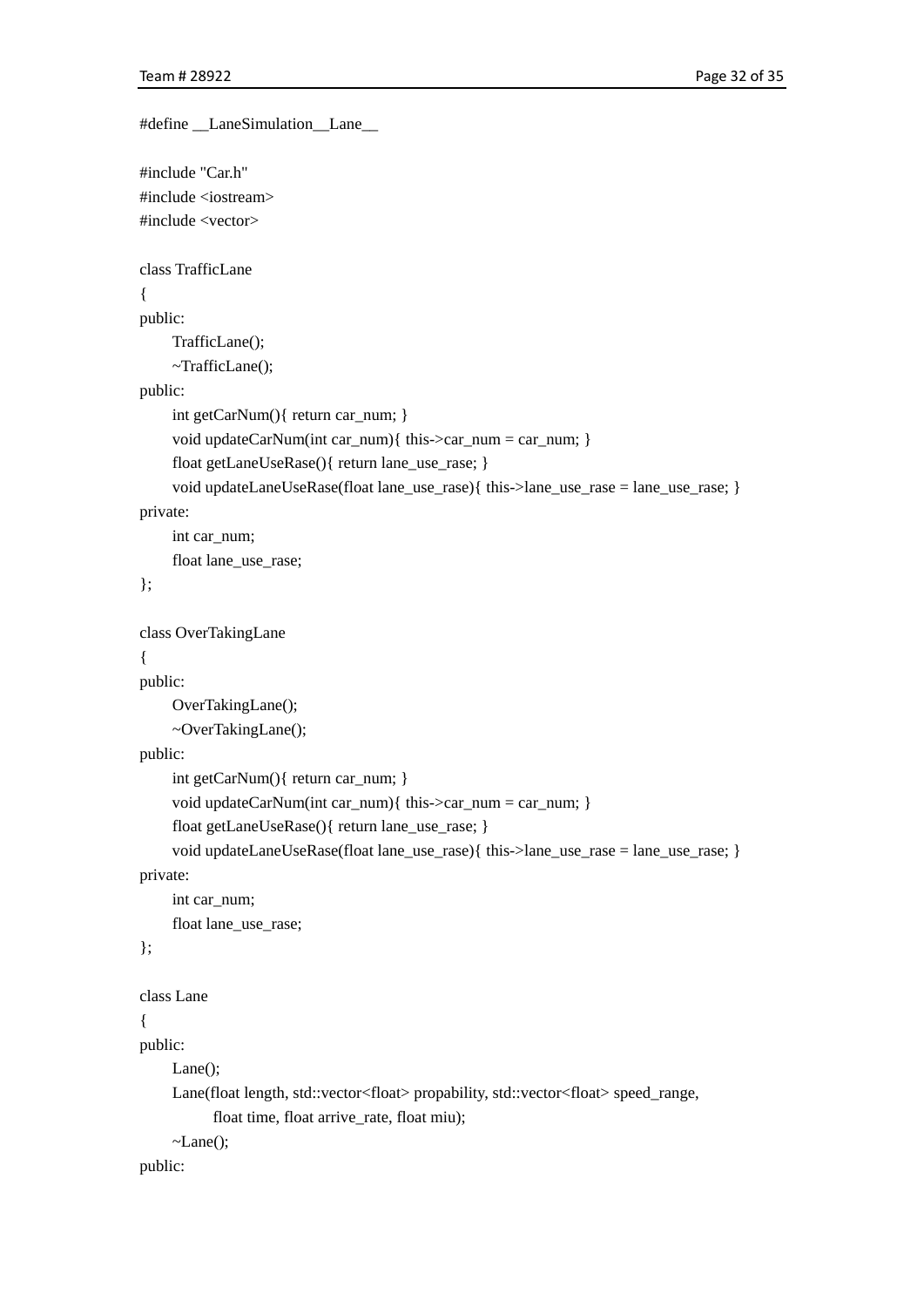```
#define __LaneSimulation__Lane__
#include "Car.h"
#include <iostream>
#include <vector>
class TrafficLane
{
public:
      TrafficLane();
      ~TrafficLane();
public:
     int getCarNum(){ return car_num; }
      void updateCarNum(int car_num){ this->car_num = car_num; }
      float getLaneUseRase(){ return lane_use_rase; }
      void updateLaneUseRase(float lane_use_rase){ this->lane_use_rase = lane_use_rase; }
private:
     int car_num;
      float lane_use_rase;
};
class OverTakingLane
{
public:
      OverTakingLane();
      ~OverTakingLane();
public:
      int getCarNum(){ return car_num; }
      void updateCarNum(int car_num){ this->car_num = car_num; }
      float getLaneUseRase(){ return lane_use_rase; }
      void updateLaneUseRase(float lane_use_rase){ this->lane_use_rase = lane_use_rase; }
private:
     int car_num;
      float lane_use_rase;
};
class Lane
{
public:
      Lane();
      Lane(float length, std::vector<float> propability, std::vector<float> speed_range,
            float time, float arrive_rate, float miu);
     \negLane();
public:
```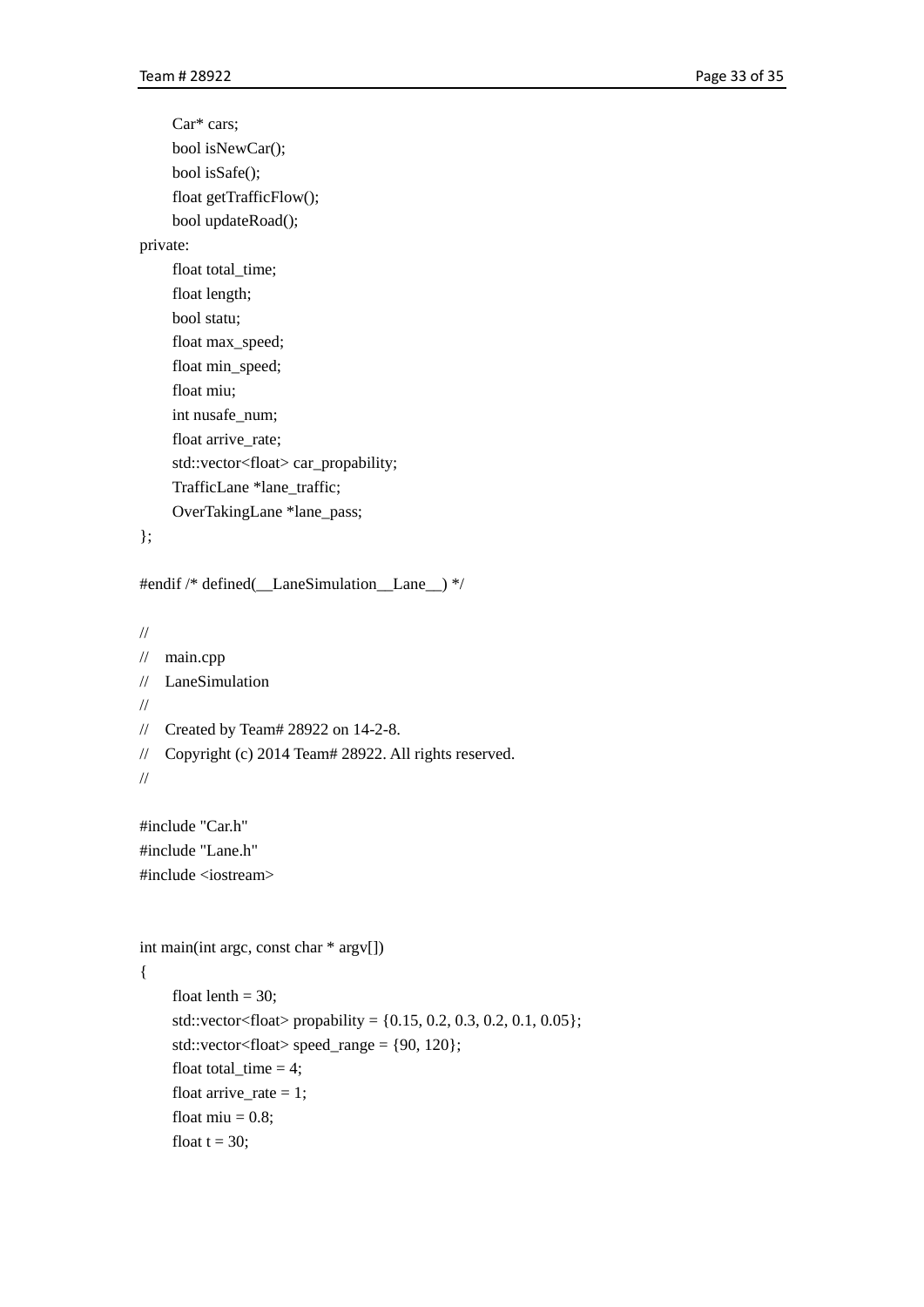Car\* cars; bool isNewCar(); bool isSafe(); float getTrafficFlow(); bool updateRoad(); private: float total time; float length; bool statu; float max\_speed; float min\_speed; float miu; int nusafe\_num; float arrive\_rate; std::vector<float> car\_propability; TrafficLane \*lane\_traffic; OverTakingLane \*lane\_pass;

```
};
```
#endif /\* defined(\_\_LaneSimulation\_\_Lane\_\_) \*/

```
//
```

```
// main.cpp
// LaneSimulation
//
```

```
// Created by Team# 28922 on 14-2-8.
```
// Copyright (c) 2014 Team# 28922. All rights reserved.

```
//
```
#include "Car.h" #include "Lane.h" #include <iostream>

```
int main(int argc, const char * argv[])
```

```
{
```

```
float lenth = 30;
std::vector<float> propability = \{0.15, 0.2, 0.3, 0.2, 0.1, 0.05\};
std::vector<float> speed_range = \{90, 120\};
float total_time = 4;
float arrive_rate = 1;
float miu = 0.8;
float t = 30;
```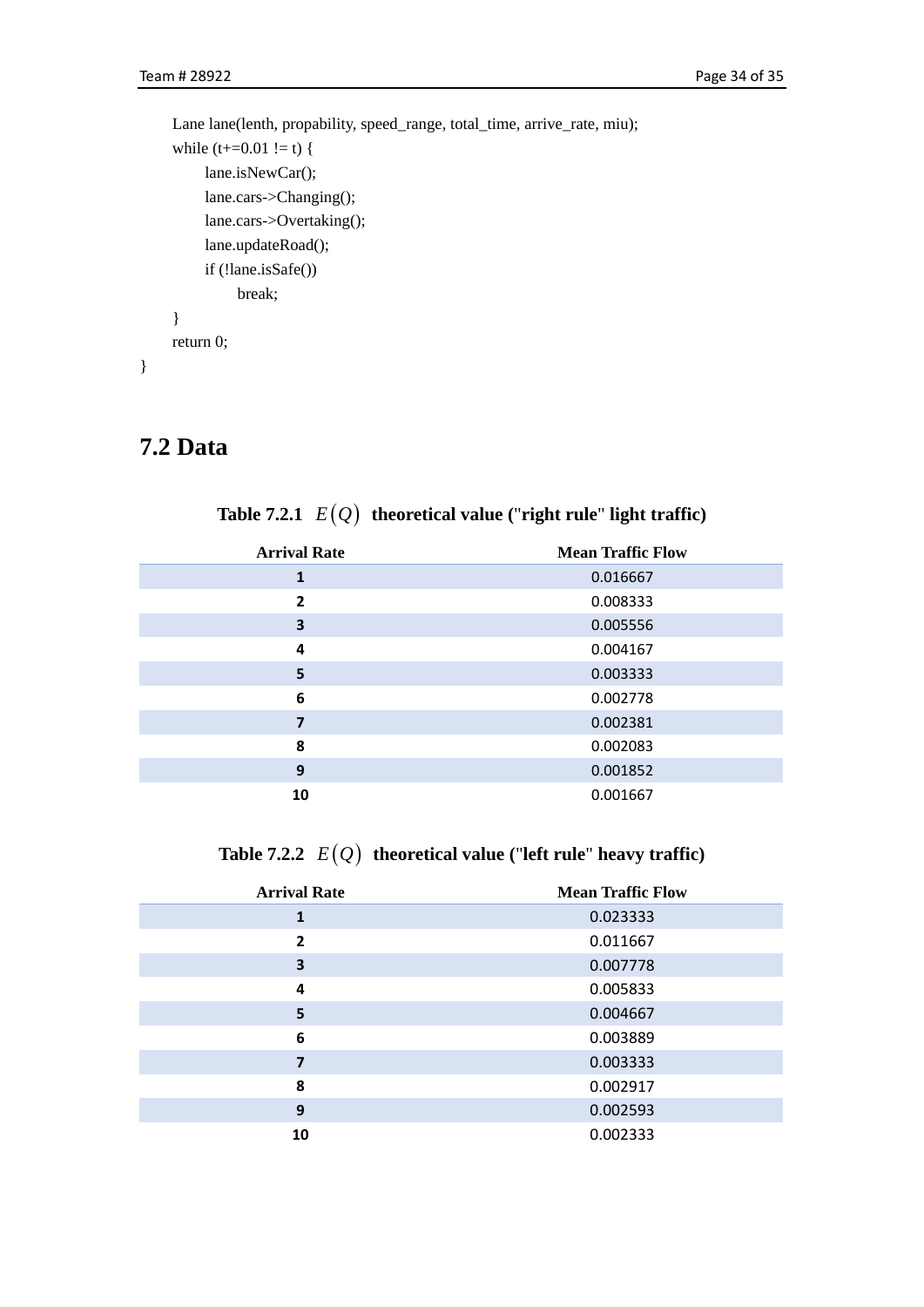```
Lane lane(lenth, propability, speed_range, total_time, arrive_rate, miu);
while (t+=0.01 != t) {
      lane.isNewCar();
      lane.cars->Changing();
      lane.cars->Overtaking();
      lane.updateRoad();
      if (!lane.isSafe())
           break;
 }
 return 0;
```
## <span id="page-33-0"></span>**7.2 Data**

}

|  |  | Table 7.2.1 $E(Q)$ theoretical value ("right rule" light traffic) |  |  |  |  |  |
|--|--|-------------------------------------------------------------------|--|--|--|--|--|
|--|--|-------------------------------------------------------------------|--|--|--|--|--|

| <b>Arrival Rate</b> | <b>Mean Traffic Flow</b> |
|---------------------|--------------------------|
| 1                   | 0.016667                 |
| $\overline{2}$      | 0.008333                 |
| 3                   | 0.005556                 |
| 4                   | 0.004167                 |
| 5                   | 0.003333                 |
| 6                   | 0.002778                 |
| 7                   | 0.002381                 |
| 8                   | 0.002083                 |
| 9                   | 0.001852                 |
| 10                  | 0.001667                 |

## **Table 7.2.2**  $E(Q)$  **theoretical value** ("left rule" heavy traffic)

| <b>Arrival Rate</b> | <b>Mean Traffic Flow</b> |
|---------------------|--------------------------|
| 1                   | 0.023333                 |
| 2                   | 0.011667                 |
| 3                   | 0.007778                 |
| 4                   | 0.005833                 |
| 5                   | 0.004667                 |
| 6                   | 0.003889                 |
| 7                   | 0.003333                 |
| 8                   | 0.002917                 |
| 9                   | 0.002593                 |
| 10                  | 0.002333                 |